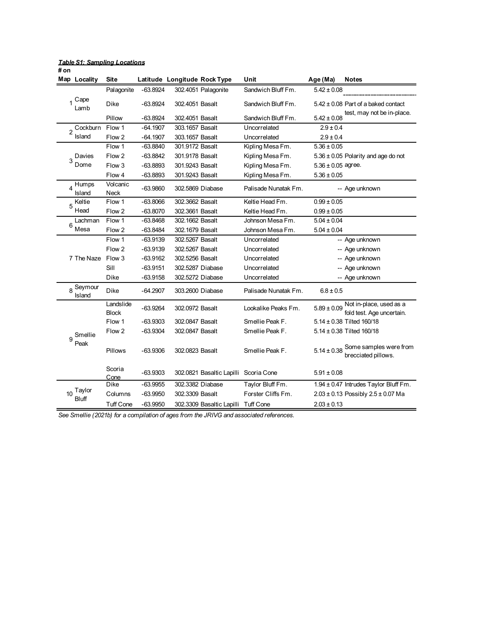|                | Map Locality         | <b>Site</b>               |            | Latitude Longitude Rock Type |                                       | Unit                 | Age (Ma)               | <b>Notes</b>                                         |
|----------------|----------------------|---------------------------|------------|------------------------------|---------------------------------------|----------------------|------------------------|------------------------------------------------------|
|                |                      | Palagonite                | $-63.8924$ |                              | 302.4051 Palagonite                   | Sandwich Bluff Fm.   | $5.42 \pm 0.08$        |                                                      |
|                | Cape<br>Lamb         | Dike                      | $-63.8924$ | 302.4051 Basalt              |                                       | Sandwich Bluff Fm.   |                        | $5.42 \pm 0.08$ Part of a baked contact              |
|                |                      | Pillow                    | $-63.8924$ | 302.4051 Basalt              |                                       | Sandwich Bluff Fm.   | $5.42 \pm 0.08$        | test, may not be in-place.                           |
| $\overline{2}$ | Cockburn             | Flow 1                    | $-64.1907$ | 303.1657 Basalt              |                                       | Uncorrelated         | $2.9 \pm 0.4$          |                                                      |
|                | Island               | Flow 2                    | $-64.1907$ | 303.1657 Basalt              |                                       | Uncorrelated         | $2.9 \pm 0.4$          |                                                      |
|                |                      | Flow 1                    | $-63.8840$ | 301.9172 Basalt              |                                       | Kipling Mesa Fm.     | $5.36 \pm 0.05$        |                                                      |
|                | Davies               | Flow 2                    | $-63.8842$ | 301.9178 Basalt              |                                       | Kipling Mesa Fm.     |                        | $5.36 \pm 0.05$ Polarity and age do not              |
| 3              | Dome                 | Flow 3                    | $-63.8893$ | 301.9243 Basalt              |                                       | Kipling Mesa Fm.     | $5.36 \pm 0.05$ agree. |                                                      |
|                |                      | Flow 4                    | $-63.8893$ | 301.9243 Basalt              |                                       | Kipling Mesa Fm.     | $5.36 \pm 0.05$        |                                                      |
|                | $_4$ Humps<br>Island | Volcanic<br>Neck          | $-63.9860$ |                              | 302.5869 Diabase                      | Palisade Nunatak Fm. |                        | -- Age unknown                                       |
| 5              | Keltie               | Flow 1                    | $-63.8066$ | 302.3662 Basalt              |                                       | Keltie Head Fm.      | $0.99 \pm 0.05$        |                                                      |
|                | Head                 | Flow 2                    | $-63.8070$ | 302.3661 Basalt              |                                       | Keltie Head Fm.      | $0.99 \pm 0.05$        |                                                      |
| 6              | Lachman              | Flow 1                    | $-63.8468$ | 302.1662 Basalt              |                                       | Johnson Mesa Fm.     | $5.04 \pm 0.04$        |                                                      |
|                | Mesa                 | Flow 2                    | $-63.8484$ | 302.1679 Basalt              |                                       | Johnson Mesa Fm.     | $5.04 \pm 0.04$        |                                                      |
|                |                      | Flow 1                    | $-63.9139$ | 302.5267 Basalt              |                                       | Uncorrelated         |                        | -- Age unknown                                       |
|                |                      | Flow 2                    | $-63.9139$ | 302.5267 Basalt              |                                       | Uncorrelated         |                        | -- Age unknown                                       |
|                | 7 The Naze           | Flow 3                    | $-63.9162$ | 302.5256 Basalt              |                                       | Uncorrelated         |                        | -- Age unknown                                       |
|                |                      | Sill                      | $-63.9151$ |                              | 302.5287 Diabase                      | Uncorrelated         |                        | -- Age unknown                                       |
|                |                      | <b>Dike</b>               | $-63.9158$ |                              | 302.5272 Diabase                      | Uncorrelated         |                        | -- Age unknown                                       |
|                | 8 Seymour<br>Island  | <b>Dike</b>               | -64.2907   |                              | 303.2600 Diabase                      | Palisade Nunatak Fm. | $6.8 \pm 0.5$          |                                                      |
|                |                      | Landslide<br><b>Block</b> | $-63.9264$ | 302.0972 Basalt              |                                       | Lookalike Peaks Fm.  | $5.89 \pm 0.09$        | Not in-place, used as a<br>fold test. Age uncertain. |
|                |                      | Flow 1                    | $-63.9303$ | 302.0847 Basalt              |                                       | Smellie Peak F.      |                        | 5.14 ± 0.38 Tilted 160/18                            |
|                | Smellie              | Flow 2                    | $-63.9304$ | 302.0847 Basalt              |                                       | Smellie Peak F.      |                        | $5.14 \pm 0.38$ Tilted 160/18                        |
| $\mathbf{Q}$   | Peak                 | Pillows                   | $-63.9306$ | 302.0823 Basalt              |                                       | Smellie Peak F.      | $5.14 \pm 0.38$        | Some samples were from<br>brecciated pillows.        |
|                |                      | Scoria<br>Cone            | $-63.9303$ |                              | 302.0821 Basaltic Lapilli Scoria Cone |                      | $5.91 \pm 0.08$        |                                                      |
|                |                      | <b>Dike</b>               | $-63.9955$ | 302.3382 Diabase             |                                       | Taylor Bluff Fm.     |                        | 1.94 $\pm$ 0.47 Intrudes Taylor Bluff Fm.            |
| 10             | Taylor<br>Bluff      | Columns                   | $-63.9950$ | 302.3309 Basalt              |                                       | Forster Cliffs Fm.   |                        | $2.03 \pm 0.13$ Possibly $2.5 \pm 0.07$ Ma           |
|                |                      | <b>Tuff Cone</b>          | $-63.9950$ |                              | 302.3309 Basaltic Lapilli             | <b>Tuff Cone</b>     | $2.03 \pm 0.13$        |                                                      |

## *Table S1: Sampling Locations* **# on**

*See Smellie (2021b) for a compilation of ages from the JRIVG and associated references.*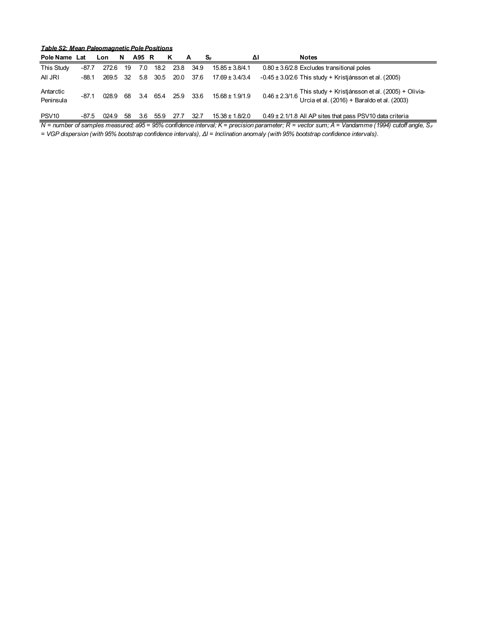| Table S2: Mean Paleomagnetic Pole Positions |  |  |  |
|---------------------------------------------|--|--|--|
|                                             |  |  |  |

| Pole Name              | Lat     | Lon   | N.   | A95 R |      | K    | <b>A</b> | -SF                 | ΔI | <b>Notes</b>                                                                                                                   |
|------------------------|---------|-------|------|-------|------|------|----------|---------------------|----|--------------------------------------------------------------------------------------------------------------------------------|
| This Study             | $-87.7$ | 272.6 | 19   | 7.0   | 18.2 | 23.8 | 34.9     | $15.85 \pm 3.8/4.1$ |    | $0.80 \pm 3.6/2.8$ Excludes transitional poles                                                                                 |
| All JRI                | $-88.1$ | 269.5 | - 32 | 5.8   | 30.5 | 20.0 | 37.6     | $17.69 \pm 3.4/3.4$ |    | $-0.45 \pm 3.0/2.6$ This study + Kristiánsson et al. (2005)                                                                    |
| Antarctic<br>Peninsula | $-87.1$ | 028.9 | 68   | 3.4   | 65.4 | 25.9 | 33.6     | $15.68 \pm 1.9/1.9$ |    | 0.46 ± 2.3/1.6 This study + Kristjánsson et al. (2005) + Olivia-<br>0.46 ± 2.3/1.6 Urcia et al. (2016) + Baraldo et al. (2003) |
| PSV <sub>10</sub>      | -87.5   | 024.9 | 58   | 3.6   | 55.9 | 27.7 | 32.7     | $15.38 \pm 1.8/2.0$ |    | $0.49 \pm 2.1/1.8$ All AP sites that pass PSV10 data criteria                                                                  |

*N* = number of samples measured; a95 = 95% confidence interval; K = precision parameter; R = vector sum; A = Vandamme (1994) cutoff angle, S<sub>F</sub>

*= VGP dispersion (with 95% bootstrap confidence intervals), ΔI = Inclination anomaly (with 95% bootstrap confidence intervals).*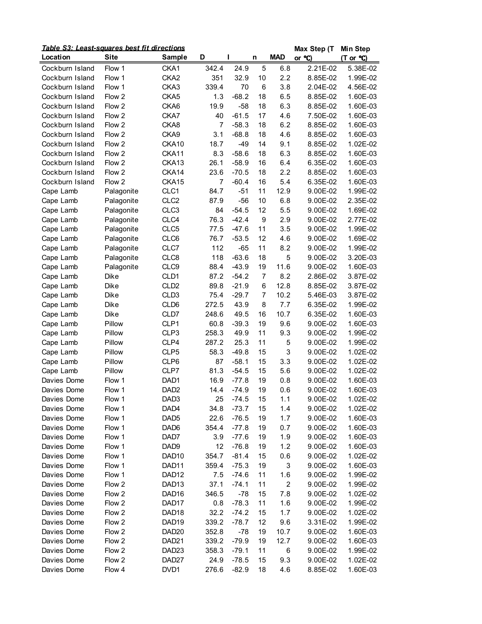| Table S3: Least-squares best fit directions |             |                   |       |         |          |                | Max Step (T | <b>Min Step</b>      |
|---------------------------------------------|-------------|-------------------|-------|---------|----------|----------------|-------------|----------------------|
| Location                                    | <b>Site</b> | <b>Sample</b>     | D     | ı       | n        | <b>MAD</b>     | or °C)      | (T or °C)            |
| Cockburn Island                             | Flow 1      | CKA1              | 342.4 | 24.9    | 5        | 6.8            | 2.21E-02    | 5.38E-02             |
| Cockburn Island                             | Flow 1      | CKA <sub>2</sub>  | 351   | 32.9    | 10       | 2.2            | 8.85E-02    | 1.99E-02             |
| Cockburn Island                             | Flow 1      | CKA3              | 339.4 | 70      | 6        | 3.8            | 2.04E-02    | 4.56E-02             |
| Cockburn Island                             | Flow 2      | CKA5              | 1.3   | $-68.2$ | 18       | 6.5            | 8.85E-02    | 1.60E-03             |
| Cockburn Island                             | Flow 2      | CKA6              | 19.9  | $-58$   | 18       | 6.3            | 8.85E-02    | 1.60E-03             |
| Cockburn Island                             | Flow 2      | CKA7              | 40    | $-61.5$ | 17       | 4.6            | 7.50E-02    | 1.60E-03             |
| Cockburn Island                             | Flow 2      | CKA8              | 7     | $-58.3$ | 18       | 6.2            | 8.85E-02    | 1.60E-03             |
| Cockburn Island                             | Flow 2      | CKA9              | 3.1   | $-68.8$ | 18       | 4.6            | 8.85E-02    | 1.60E-03             |
| Cockburn Island                             | Flow 2      | CKA10             | 18.7  | $-49$   | 14       | 9.1            | 8.85E-02    | 1.02E-02             |
| Cockburn Island                             | Flow 2      | CKA11             | 8.3   | $-58.6$ | 18       | 6.3            | 8.85E-02    | 1.60E-03             |
| Cockburn Island                             | Flow 2      | CKA13             | 26.1  | $-58.9$ | 16       | 6.4            | 6.35E-02    | 1.60E-03             |
| Cockburn Island                             | Flow 2      | CKA14             | 23.6  | $-70.5$ | 18       | 2.2            | 8.85E-02    | 1.60E-03             |
| Cockburn Island                             | Flow 2      | CKA15             | 7     | $-60.4$ | 16       | 5.4            | 6.35E-02    | 1.60E-03             |
| Cape Lamb                                   | Palagonite  | CLC1              | 84.7  | $-51$   | 11       | 12.9           | 9.00E-02    | 1.99E-02             |
| Cape Lamb                                   | Palagonite  | CLC <sub>2</sub>  | 87.9  | $-56$   | 10       | 6.8            | 9.00E-02    | 2.35E-02             |
| Cape Lamb                                   | Palagonite  | CLC <sub>3</sub>  | 84    | $-54.5$ | 12       | 5.5            | 9.00E-02    | 1.69E-02             |
| Cape Lamb                                   | Palagonite  | CLC4              | 76.3  | $-42.4$ | 9        | 2.9            | 9.00E-02    | 2.77E-02             |
| Cape Lamb                                   | Palagonite  | CLC5              | 77.5  | $-47.6$ | 11       | 3.5            | 9.00E-02    | 1.99E-02             |
| Cape Lamb                                   | Palagonite  | CLC6              | 76.7  | $-53.5$ | 12       | 4.6            | 9.00E-02    | 1.69E-02             |
| Cape Lamb                                   | Palagonite  | CLC7              | 112   | $-65$   | 11       | 8.2            | 9.00E-02    | 1.99E-02             |
| Cape Lamb                                   | Palagonite  | CLC8              | 118   | $-63.6$ | 18       | 5              | 9.00E-02    | 3.20E-03             |
| Cape Lamb                                   | Palagonite  | CLC9              | 88.4  | $-43.9$ | 19       | 11.6           | 9.00E-02    | 1.60E-03             |
| Cape Lamb                                   | Dike        | CLD1              | 87.2  | $-54.2$ | 7        | 8.2            | 2.86E-02    | 3.87E-02             |
| Cape Lamb                                   | Dike        | CLD <sub>2</sub>  | 89.8  | $-21.9$ | 6        | 12.8           | 8.85E-02    | 3.87E-02             |
| Cape Lamb                                   | Dike        | CLD <sub>3</sub>  | 75.4  | $-29.7$ | 7        | 10.2           | 5.46E-03    | 3.87E-02             |
| Cape Lamb                                   | Dike        | CLD6              | 272.5 | 43.9    | 8        | 7.7            | 6.35E-02    | 1.99E-02             |
| Cape Lamb                                   | Dike        | CLD7              | 248.6 | 49.5    | 16       | 10.7           | 6.35E-02    | 1.60E-03             |
| Cape Lamb                                   | Pillow      | CLP1              | 60.8  | $-39.3$ | 19       | 9.6            | 9.00E-02    | 1.60E-03             |
| Cape Lamb                                   | Pillow      | CLP3              | 258.3 | 49.9    | 11       | 9.3            | 9.00E-02    | 1.99E-02             |
| Cape Lamb                                   | Pillow      | CLP4              | 287.2 | 25.3    | 11       | 5              | 9.00E-02    | 1.99E-02             |
| Cape Lamb                                   | Pillow      | CLP5              | 58.3  | $-49.8$ | 15       | 3              | 9.00E-02    | 1.02E-02             |
| Cape Lamb                                   | Pillow      | CLP6              | 87    | $-58.1$ | 15       | 3.3            | 9.00E-02    | 1.02E-02             |
| Cape Lamb                                   | Pillow      | CLP7              | 81.3  | $-54.5$ | 15       | 5.6            | 9.00E-02    | 1.02E-02             |
| Davies Dome                                 | Flow 1      | DAD1              | 16.9  | $-77.8$ | 19       | 0.8            | 9.00E-02    | 1.60E-03             |
| Davies Dome                                 | Flow 1      | DAD <sub>2</sub>  | 14.4  | $-74.9$ | 19       | 0.6            | 9.00E-02    | 1.60E-03             |
| Davies Dome                                 | Flow 1      | DAD <sub>3</sub>  | 25    | $-74.5$ | 15       | 1.1            | 9.00E-02    | 1.02E-02             |
|                                             | Flow 1      | DAD4              | 34.8  | $-73.7$ | 15       | 1.4            | 9.00E-02    | 1.02E-02             |
| Davies Dome<br>Davies Dome                  | Flow 1      | DAD <sub>5</sub>  | 22.6  | $-76.5$ | 19       | 1.7            | 9.00E-02    | 1.60E-03             |
| Davies Dome                                 | Flow 1      | DAD <sub>6</sub>  | 354.4 | $-77.8$ | 19       | 0.7            | 9.00E-02    | 1.60E-03             |
| Davies Dome                                 | Flow 1      | DAD7              | 3.9   | $-77.6$ | 19       | 1.9            | 9.00E-02    | 1.60E-03             |
| Davies Dome                                 |             |                   |       | $-76.8$ |          |                |             |                      |
| Davies Dome                                 | Flow 1      | DAD <sub>9</sub>  | 12    |         | 19<br>15 | 1.2            | 9.00E-02    | 1.60E-03<br>1.02E-02 |
| Davies Dome                                 | Flow 1      | DAD <sub>10</sub> | 354.7 | $-81.4$ | 19       | 0.6<br>3       | 9.00E-02    |                      |
|                                             | Flow 1      | DAD11             | 359.4 | $-75.3$ |          |                | 9.00E-02    | 1.60E-03             |
| Davies Dome                                 | Flow 1      | DAD <sub>12</sub> | 7.5   | $-74.6$ | 11       | 1.6            | 9.00E-02    | 1.99E-02             |
| Davies Dome                                 | Flow 2      | DAD <sub>13</sub> | 37.1  | $-74.1$ | 11       | $\overline{c}$ | 9.00E-02    | 1.99E-02             |
| Davies Dome                                 | Flow 2      | DAD16             | 346.5 | $-78$   | 15       | 7.8            | 9.00E-02    | 1.02E-02             |
| Davies Dome                                 | Flow 2      | DAD17             | 0.8   | $-78.3$ | 11       | 1.6            | 9.00E-02    | 1.99E-02             |
| Davies Dome                                 | Flow 2      | DAD <sub>18</sub> | 32.2  | $-74.2$ | 15       | 1.7            | 9.00E-02    | 1.02E-02             |
| Davies Dome                                 | Flow 2      | DAD19             | 339.2 | $-78.7$ | 12       | 9.6            | 3.31E-02    | 1.99E-02             |
| Davies Dome                                 | Flow 2      | DAD <sub>20</sub> | 352.8 | $-78$   | 19       | 10.7           | 9.00E-02    | 1.60E-03             |
| Davies Dome                                 | Flow 2      | DAD <sub>21</sub> | 339.2 | $-79.9$ | 19       | 12.7           | 9.00E-02    | 1.60E-03             |
| Davies Dome                                 | Flow 2      | DAD <sub>23</sub> | 358.3 | $-79.1$ | 11       | 6              | 9.00E-02    | 1.99E-02             |
| Davies Dome                                 | Flow 2      | DAD <sub>27</sub> | 24.9  | $-78.5$ | 15       | 9.3            | 9.00E-02    | 1.02E-02             |
| Davies Dome                                 | Flow 4      | DVD1              | 276.6 | $-82.9$ | 18       | 4.6            | 8.85E-02    | 1.60E-03             |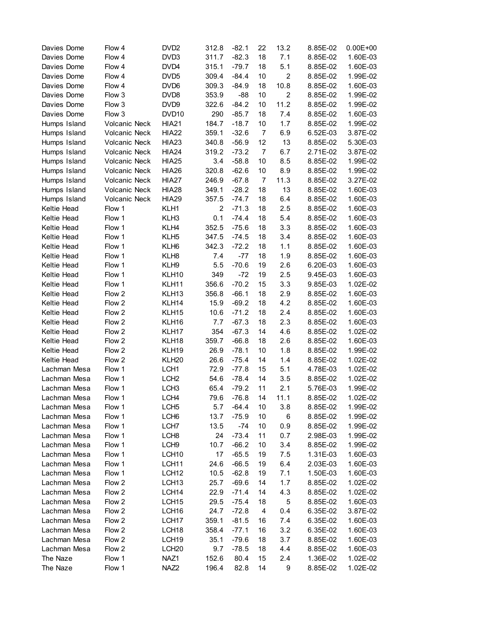| Davies Dome  | Flow 4               | DVD <sub>2</sub>  | 312.8          | $-82.1$ | 22             | 13.2           | 8.85E-02 | $0.00E + 00$ |
|--------------|----------------------|-------------------|----------------|---------|----------------|----------------|----------|--------------|
| Davies Dome  | Flow 4               | DVD3              | 311.7          | $-82.3$ | 18             | 7.1            | 8.85E-02 | 1.60E-03     |
| Davies Dome  | Flow 4               | DVD4              | 315.1          | $-79.7$ | 18             | 5.1            | 8.85E-02 | 1.60E-03     |
| Davies Dome  | Flow 4               | DVD <sub>5</sub>  | 309.4          | $-84.4$ | 10             | $\overline{2}$ | 8.85E-02 | 1.99E-02     |
| Davies Dome  | Flow 4               | DVD <sub>6</sub>  | 309.3          | $-84.9$ | 18             | 10.8           | 8.85E-02 | 1.60E-03     |
| Davies Dome  | Flow 3               | DVD <sub>8</sub>  | 353.9          | $-88$   | 10             | $\overline{2}$ | 8.85E-02 | 1.99E-02     |
| Davies Dome  | Flow 3               | DVD9              | 322.6          | $-84.2$ | 10             | 11.2           | 8.85E-02 | 1.99E-02     |
| Davies Dome  | Flow 3               | DVD <sub>10</sub> | 290            | $-85.7$ | 18             | 7.4            | 8.85E-02 | 1.60E-03     |
| Humps Island | <b>Volcanic Neck</b> | <b>HIA21</b>      | 184.7          | $-18.7$ | 10             | 1.7            | 8.85E-02 | 1.99E-02     |
| Humps Island | <b>Volcanic Neck</b> | <b>HIA22</b>      | 359.1          | $-32.6$ | $\overline{7}$ | 6.9            | 6.52E-03 | 3.87E-02     |
| Humps Island | Volcanic Neck        | <b>HIA23</b>      | 340.8          | $-56.9$ | 12             | 13             | 8.85E-02 | 5.30E-03     |
| Humps Island | Volcanic Neck        | <b>HIA24</b>      | 319.2          | $-73.2$ | $\overline{7}$ | 6.7            | 2.71E-02 | 3.87E-02     |
| Humps Island | Volcanic Neck        | <b>HIA25</b>      | 3.4            | $-58.8$ | 10             | 8.5            | 8.85E-02 | 1.99E-02     |
| Humps Island | Volcanic Neck        | <b>HIA26</b>      | 320.8          | $-62.6$ | 10             | 8.9            | 8.85E-02 | 1.99E-02     |
| Humps Island | Volcanic Neck        | <b>HIA27</b>      | 246.9          | $-67.8$ | $\overline{7}$ | 11.3           | 8.85E-02 | 3.27E-02     |
| Humps Island | Volcanic Neck        | <b>HIA28</b>      | 349.1          | $-28.2$ | 18             | 13             | 8.85E-02 | 1.60E-03     |
| Humps Island | Volcanic Neck        | <b>HIA29</b>      | 357.5          | $-74.7$ | 18             | 6.4            | 8.85E-02 | 1.60E-03     |
| Keltie Head  | Flow 1               | KLH1              | $\overline{2}$ | $-71.3$ | 18             | 2.5            | 8.85E-02 | 1.60E-03     |
| Keltie Head  | Flow 1               | KLH3              | 0.1            | $-74.4$ | 18             | 5.4            | 8.85E-02 | 1.60E-03     |
| Keltie Head  | Flow 1               | KLH4              | 352.5          | $-75.6$ | 18             | 3.3            | 8.85E-02 | 1.60E-03     |
| Keltie Head  | Flow 1               | KLH <sub>5</sub>  | 347.5          | $-74.5$ | 18             | 3.4            | 8.85E-02 | 1.60E-03     |
| Keltie Head  | Flow 1               | KLH <sub>6</sub>  | 342.3          | $-72.2$ | 18             | 1.1            | 8.85E-02 | 1.60E-03     |
| Keltie Head  | Flow 1               | KLH8              | 7.4            | $-77$   | 18             | 1.9            | 8.85E-02 | 1.60E-03     |
| Keltie Head  | Flow 1               | KLH9              | 5.5            | $-70.6$ | 19             | 2.6            | 6.20E-03 | 1.60E-03     |
| Keltie Head  | Flow 1               | KLH10             | 349            | $-72$   | 19             | 2.5            | 9.45E-03 | 1.60E-03     |
| Keltie Head  | Flow 1               | KLH11             | 356.6          | $-70.2$ | 15             | 3.3            | 9.85E-03 | 1.02E-02     |
| Keltie Head  | Flow 2               | KLH <sub>13</sub> | 356.8          | $-66.1$ | 18             | 2.9            | 8.85E-02 | 1.60E-03     |
| Keltie Head  | Flow 2               | KLH14             | 15.9           | $-69.2$ | 18             | 4.2            | 8.85E-02 | 1.60E-03     |
| Keltie Head  | Flow 2               | KLH15             | 10.6           | $-71.2$ | 18             | 2.4            | 8.85E-02 | 1.60E-03     |
| Keltie Head  | Flow 2               | KLH16             | 7.7            | $-67.3$ | 18             | 2.3            | 8.85E-02 | 1.60E-03     |
| Keltie Head  | Flow 2               | KLH17             | 354            | $-67.3$ | 14             | 4.6            | 8.85E-02 | 1.02E-02     |
| Keltie Head  | Flow 2               | KLH18             | 359.7          | $-66.8$ | 18             | 2.6            | 8.85E-02 | 1.60E-03     |
| Keltie Head  | Flow 2               | KLH19             | 26.9           | $-78.1$ | 10             | 1.8            | 8.85E-02 | 1.99E-02     |
| Keltie Head  | Flow 2               | KLH <sub>20</sub> | 26.6           | $-75.4$ | 14             | 1.4            | 8.85E-02 | 1.02E-02     |
| Lachman Mesa | Flow 1               | LCH <sub>1</sub>  | 72.9           | $-77.8$ | 15             | 5.1            | 4.78E-03 | 1.02E-02     |
| Lachman Mesa | Flow 1               | LCH <sub>2</sub>  | 54.6           | $-78.4$ | 14             | 3.5            | 8.85E-02 | 1.02E-02     |
| Lachman Mesa | Flow 1               | LCH <sub>3</sub>  | 65.4           | $-79.2$ | 11             | 2.1            | 5.76E-03 | 1.99E-02     |
| Lachman Mesa | Flow 1               | LCH4              | 79.6           | $-76.8$ | 14             | 11.1           | 8.85E-02 | 1.02E-02     |
| Lachman Mesa | Flow 1               | LCH <sub>5</sub>  | 5.7            | $-64.4$ | 10             | 3.8            | 8.85E-02 | 1.99E-02     |
| Lachman Mesa | Flow 1               | LCH <sub>6</sub>  | 13.7           | $-75.9$ | 10             | 6              | 8.85E-02 | 1.99E-02     |
| Lachman Mesa | Flow 1               | LCH <sub>7</sub>  | 13.5           | $-74$   | 10             | 0.9            | 8.85E-02 | 1.99E-02     |
| Lachman Mesa | Flow 1               | LCH <sub>8</sub>  | 24             | $-73.4$ | 11             | 0.7            | 2.98E-03 | 1.99E-02     |
| Lachman Mesa | Flow 1               | LCH <sub>9</sub>  | 10.7           | $-66.2$ | 10             | 3.4            | 8.85E-02 | 1.99E-02     |
| Lachman Mesa | Flow 1               | LCH <sub>10</sub> | 17             | $-65.5$ | 19             | 7.5            | 1.31E-03 | 1.60E-03     |
| Lachman Mesa | Flow 1               | LCH <sub>11</sub> | 24.6           | $-66.5$ | 19             | 6.4            | 2.03E-03 | 1.60E-03     |
| Lachman Mesa | Flow 1               | LCH <sub>12</sub> | 10.5           | $-62.8$ | 19             | 7.1            | 1.50E-03 | 1.60E-03     |
| Lachman Mesa | Flow 2               | LCH <sub>13</sub> | 25.7           | $-69.6$ | 14             | 1.7            | 8.85E-02 | 1.02E-02     |
| Lachman Mesa | Flow 2               | LCH <sub>14</sub> | 22.9           | $-71.4$ | 14             | 4.3            | 8.85E-02 | 1.02E-02     |
| Lachman Mesa | Flow 2               | LCH <sub>15</sub> | 29.5           | $-75.4$ | 18             | 5              | 8.85E-02 | 1.60E-03     |
| Lachman Mesa | Flow 2               | LCH <sub>16</sub> | 24.7           | $-72.8$ | 4              | 0.4            | 6.35E-02 | 3.87E-02     |
| Lachman Mesa | Flow 2               | LCH <sub>17</sub> | 359.1          | $-81.5$ | 16             | 7.4            | 6.35E-02 | 1.60E-03     |
| Lachman Mesa | Flow 2               | LCH <sub>18</sub> | 358.4          | $-77.1$ | 16             | 3.2            | 6.35E-02 | 1.60E-03     |
| Lachman Mesa | Flow 2               | LCH <sub>19</sub> | 35.1           | $-79.6$ | 18             | 3.7            | 8.85E-02 | 1.60E-03     |
| Lachman Mesa | Flow 2               | LCH <sub>20</sub> | 9.7            | $-78.5$ | 18             | 4.4            | 8.85E-02 | 1.60E-03     |
| The Naze     | Flow 1               | NAZ1              | 152.6          | 80.4    | 15             | 2.4            | 1.36E-02 | 1.02E-02     |
| The Naze     | Flow 1               | NAZ <sub>2</sub>  | 196.4          | 82.8    | 14             | 9              | 8.85E-02 | 1.02E-02     |
|              |                      |                   |                |         |                |                |          |              |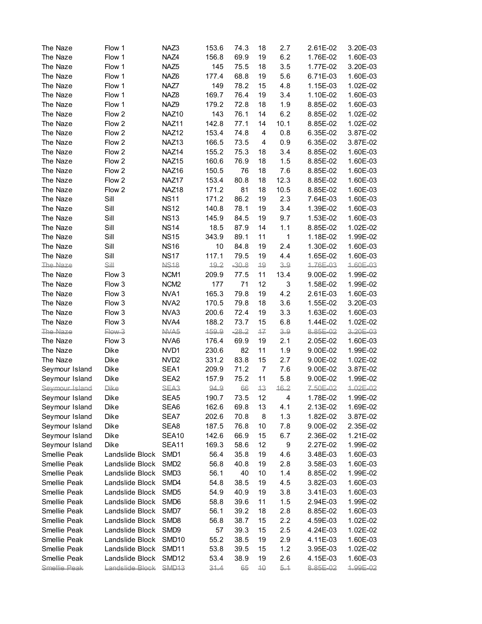| The Naze            | Flow 1          | NAZ3              | 153.6 | 74.3    | 18              | 2.7  | 2.61E-02 | 3.20E-03 |
|---------------------|-----------------|-------------------|-------|---------|-----------------|------|----------|----------|
| The Naze            | Flow 1          | NAZ4              | 156.8 | 69.9    | 19              | 6.2  | 1.76E-02 | 1.60E-03 |
| The Naze            | Flow 1          | NAZ <sub>5</sub>  | 145   | 75.5    | 18              | 3.5  | 1.77E-02 | 3.20E-03 |
| The Naze            | Flow 1          | NAZ6              | 177.4 | 68.8    | 19              | 5.6  | 6.71E-03 | 1.60E-03 |
| The Naze            | Flow 1          | NAZ7              | 149   | 78.2    | 15              | 4.8  | 1.15E-03 | 1.02E-02 |
| The Naze            | Flow 1          | NAZ8              | 169.7 | 76.4    | 19              | 3.4  | 1.10E-02 | 1.60E-03 |
| The Naze            | Flow 1          | NAZ9              | 179.2 | 72.8    | 18              | 1.9  | 8.85E-02 | 1.60E-03 |
| The Naze            | Flow 2          | NAZ <sub>10</sub> | 143   | 76.1    | 14              | 6.2  | 8.85E-02 | 1.02E-02 |
| The Naze            | Flow 2          | NAZ11             | 142.8 | 77.1    | 14              | 10.1 | 8.85E-02 | 1.02E-02 |
| The Naze            | Flow 2          | NAZ12             | 153.4 | 74.8    | $\overline{4}$  | 0.8  | 6.35E-02 | 3.87E-02 |
| The Naze            | Flow 2          | NAZ <sub>13</sub> | 166.5 | 73.5    | 4               | 0.9  | 6.35E-02 | 3.87E-02 |
| The Naze            | Flow 2          | NAZ14             | 155.2 | 75.3    | 18              | 3.4  | 8.85E-02 | 1.60E-03 |
| The Naze            | Flow 2          | NAZ15             | 160.6 | 76.9    | 18              | 1.5  | 8.85E-02 | 1.60E-03 |
| The Naze            | Flow 2          | NAZ16             | 150.5 | 76      | 18              | 7.6  | 8.85E-02 | 1.60E-03 |
| The Naze            | Flow 2          | NAZ17             | 153.4 | 80.8    | 18              | 12.3 | 8.85E-02 | 1.60E-03 |
| The Naze            | Flow 2          | NAZ18             | 171.2 | 81      | 18              | 10.5 | 8.85E-02 | 1.60E-03 |
| The Naze            | Sill            | <b>NS11</b>       | 171.2 | 86.2    | 19              | 2.3  | 7.64E-03 | 1.60E-03 |
| The Naze            | Sill            | <b>NS12</b>       | 140.8 | 78.1    | 19              | 3.4  | 1.39E-02 | 1.60E-03 |
| The Naze            | Sill            | <b>NS13</b>       | 145.9 | 84.5    | 19              | 9.7  | 1.53E-02 | 1.60E-03 |
| The Naze            | Sill            | <b>NS14</b>       | 18.5  | 87.9    | 14              | 1.1  | 8.85E-02 | 1.02E-02 |
| The Naze            | Sill            | <b>NS15</b>       | 343.9 | 89.1    | 11              | 1    | 1.18E-02 | 1.99E-02 |
| The Naze            | Sill            | <b>NS16</b>       | 10    | 84.8    | 19              | 2.4  | 1.30E-02 | 1.60E-03 |
| The Naze            | Sill            | <b>NS17</b>       | 117.1 | 79.5    | 19              | 4.4  | 1.65E-02 | 1.60E-03 |
| The Naze            | <b>Sill</b>     | <b>NS18</b>       | 19.2  | $-30.8$ | 19              | 3.9  | 1.76E-03 | 1.60E-03 |
| The Naze            | Flow 3          | NCM <sub>1</sub>  | 209.9 | 77.5    | 11              | 13.4 | 9.00E-02 | 1.99E-02 |
| The Naze            | Flow 3          | NCM <sub>2</sub>  | 177   | 71      | 12              | 3    | 1.58E-02 | 1.99E-02 |
| The Naze            | Flow 3          | NVA1              | 165.3 | 79.8    | 19              | 4.2  | 2.61E-03 | 1.60E-03 |
| The Naze            | Flow 3          | NVA <sub>2</sub>  | 170.5 | 79.8    | 18              | 3.6  | 1.55E-02 | 3.20E-03 |
| The Naze            | Flow 3          | NVA3              | 200.6 | 72.4    | 19              | 3.3  | 1.63E-02 | 1.60E-03 |
| The Naze            | Flow 3          | NVA4              | 188.2 | 73.7    | 15              | 6.8  | 1.44E-02 | 1.02E-02 |
| The Naze            | Flow 3          | NVA5              | 159.9 | $-28.2$ | 17              | 3.9  | 8.85E-02 | 3.20E-03 |
| The Naze            | Flow 3          | NVA6              | 176.4 | 69.9    | 19              | 2.1  | 2.05E-02 | 1.60E-03 |
| The Naze            | Dike            | NVD <sub>1</sub>  | 230.6 | 82      | 11              | 1.9  | 9.00E-02 | 1.99E-02 |
| The Naze            | Dike            | NVD <sub>2</sub>  | 331.2 | 83.8    | 15              | 2.7  | 9.00E-02 | 1.02E-02 |
| Seymour Island      | Dike            | SEA1              | 209.9 | 71.2    | $\overline{7}$  | 7.6  | 9.00E-02 | 3.87E-02 |
| Seymour Island      | Dike            | SEA <sub>2</sub>  | 157.9 | 75.2    | 11              | 5.8  | 9.00E-02 | 1.99E-02 |
| Seymour Island      | Dike            | SEA <sub>3</sub>  | 94.9  | 66      | 13              | 16.2 | 7.50E-02 | 1.02E-02 |
| Seymour Island      | Dike            | SEA <sub>5</sub>  | 190.7 | 73.5    | 12              | 4    | 1.78E-02 | 1.99E-02 |
| Seymour Island      | Dike            | SEA6              | 162.6 | 69.8    | 13              | 4.1  | 2.13E-02 | 1.69E-02 |
| Seymour Island      | Dike            | SEA7              | 202.6 | 70.8    | 8               | 1.3  | 1.82E-02 | 3.87E-02 |
| Seymour Island      | Dike            | SEA8              | 187.5 | 76.8    | 10              | 7.8  | 9.00E-02 | 2.35E-02 |
| Seymour Island      | Dike            | SEA10             | 142.6 | 66.9    | 15              | 6.7  | 2.36E-02 | 1.21E-02 |
| Seymour Island      | Dike            | SEA11             | 169.3 | 58.6    | 12              | 9    | 2.27E-02 | 1.99E-02 |
| Smellie Peak        | Landslide Block | SMD <sub>1</sub>  | 56.4  | 35.8    | 19              | 4.6  | 3.48E-03 | 1.60E-03 |
| Smellie Peak        | Landslide Block | SMD <sub>2</sub>  | 56.8  | 40.8    | 19              | 2.8  | 3.58E-03 | 1.60E-03 |
| Smellie Peak        | Landslide Block | SMD <sub>3</sub>  | 56.1  | 40      | 10              | 1.4  | 8.85E-02 | 1.99E-02 |
| Smellie Peak        | Landslide Block | SMD4              | 54.8  | 38.5    | 19              | 4.5  | 3.82E-03 | 1.60E-03 |
| Smellie Peak        | Landslide Block | SMD <sub>5</sub>  | 54.9  | 40.9    | 19              | 3.8  | 3.41E-03 | 1.60E-03 |
| Smellie Peak        | Landslide Block | SMD <sub>6</sub>  | 58.8  | 39.6    | 11              | 1.5  | 2.94E-03 | 1.99E-02 |
| Smellie Peak        | Landslide Block | SMD7              | 56.1  | 39.2    | 18              | 2.8  | 8.85E-02 | 1.60E-03 |
| Smellie Peak        | Landslide Block | SMD <sub>8</sub>  | 56.8  | 38.7    | 15              | 2.2  | 4.59E-03 | 1.02E-02 |
| Smellie Peak        | Landslide Block | SMD <sub>9</sub>  | 57    | 39.3    | 15              | 2.5  | 4.24E-03 | 1.02E-02 |
| Smellie Peak        | Landslide Block | SMD <sub>10</sub> | 55.2  | 38.5    | 19              | 2.9  | 4.11E-03 | 1.60E-03 |
| Smellie Peak        | Landslide Block | SMD <sub>11</sub> | 53.8  | 39.5    | 15              | 1.2  | 3.95E-03 | 1.02E-02 |
| Smellie Peak        | Landslide Block | SMD <sub>12</sub> | 53.4  | 38.9    | 19              | 2.6  | 4.15E-03 | 1.60E-03 |
| <b>Smellie Peak</b> | Landslide Block | SMD <sub>13</sub> | 31.4  | 65      | $\overline{10}$ | 5.1  | 8.85E-02 | 1.99E-02 |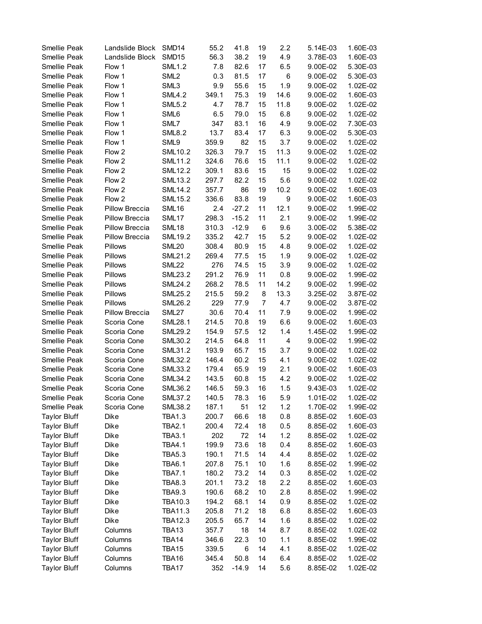| Smellie Peak        | Landslide Block | SMD <sub>14</sub> | 55.2  | 41.8    | 19 | 2.2            | 5.14E-03 | 1.60E-03 |
|---------------------|-----------------|-------------------|-------|---------|----|----------------|----------|----------|
| Smellie Peak        | Landslide Block | SMD <sub>15</sub> | 56.3  | 38.2    | 19 | 4.9            | 3.78E-03 | 1.60E-03 |
| Smellie Peak        | Flow 1          | <b>SML1.2</b>     | 7.8   | 82.6    | 17 | 6.5            | 9.00E-02 | 5.30E-03 |
| Smellie Peak        | Flow 1          | SML <sub>2</sub>  | 0.3   | 81.5    | 17 | 6              | 9.00E-02 | 5.30E-03 |
| Smellie Peak        | Flow 1          | SML3              | 9.9   | 55.6    | 15 | 1.9            | 9.00E-02 | 1.02E-02 |
| Smellie Peak        | Flow 1          | <b>SML4.2</b>     | 349.1 | 75.3    | 19 | 14.6           | 9.00E-02 | 1.60E-03 |
| Smellie Peak        | Flow 1          | <b>SML5.2</b>     | 4.7   | 78.7    | 15 | 11.8           | 9.00E-02 | 1.02E-02 |
| Smellie Peak        | Flow 1          | SML6              | 6.5   | 79.0    | 15 | 6.8            | 9.00E-02 | 1.02E-02 |
| Smellie Peak        | Flow 1          | SML7              | 347   | 83.1    | 16 | 4.9            | 9.00E-02 | 7.30E-03 |
| Smellie Peak        | Flow 1          | <b>SML8.2</b>     | 13.7  | 83.4    | 17 | 6.3            | 9.00E-02 | 5.30E-03 |
| Smellie Peak        | Flow 1          | SML9              | 359.9 | 82      | 15 | 3.7            | 9.00E-02 | 1.02E-02 |
| Smellie Peak        | Flow 2          | <b>SML10.2</b>    | 326.3 | 79.7    | 15 | 11.3           | 9.00E-02 | 1.02E-02 |
| Smellie Peak        | Flow 2          | <b>SML11.2</b>    | 324.6 | 76.6    | 15 | 11.1           | 9.00E-02 | 1.02E-02 |
| Smellie Peak        | Flow 2          | <b>SML12.2</b>    | 309.1 | 83.6    | 15 | 15             | 9.00E-02 | 1.02E-02 |
| Smellie Peak        | Flow 2          | <b>SML13.2</b>    | 297.7 | 82.2    | 15 | 5.6            | 9.00E-02 | 1.02E-02 |
| Smellie Peak        | Flow 2          | <b>SML14.2</b>    | 357.7 | 86      | 19 | 10.2           | 9.00E-02 | 1.60E-03 |
| Smellie Peak        | Flow 2          | <b>SML15.2</b>    | 336.6 | 83.8    | 19 | 9              | 9.00E-02 | 1.60E-03 |
| Smellie Peak        | Pillow Breccia  | SML16             | 2.4   | $-27.2$ | 11 | 12.1           | 9.00E-02 | 1.99E-02 |
| Smellie Peak        | Pillow Breccia  | SML17             | 298.3 | $-15.2$ | 11 | 2.1            | 9.00E-02 | 1.99E-02 |
| Smellie Peak        | Pillow Breccia  | SML <sub>18</sub> | 310.3 | $-12.9$ | 6  | 9.6            | 3.00E-02 | 5.38E-02 |
| Smellie Peak        | Pillow Breccia  | <b>SML19.2</b>    | 335.2 | 42.7    | 15 | 5.2            | 9.00E-02 | 1.02E-02 |
| Smellie Peak        | Pillows         | <b>SML20</b>      | 308.4 | 80.9    | 15 | 4.8            | 9.00E-02 | 1.02E-02 |
| Smellie Peak        | Pillows         | <b>SML21.2</b>    | 269.4 | 77.5    | 15 | 1.9            | 9.00E-02 | 1.02E-02 |
| Smellie Peak        | Pillows         | <b>SML22</b>      | 276   | 74.5    | 15 | 3.9            | 9.00E-02 | 1.02E-02 |
| Smellie Peak        | Pillows         | <b>SML23.2</b>    | 291.2 | 76.9    | 11 | 0.8            | 9.00E-02 | 1.99E-02 |
| Smellie Peak        | Pillows         | <b>SML24.2</b>    | 268.2 | 78.5    | 11 | 14.2           | 9.00E-02 | 1.99E-02 |
| Smellie Peak        | Pillows         | <b>SML25.2</b>    | 215.5 | 59.2    | 8  | 13.3           | 3.25E-02 | 3.87E-02 |
| Smellie Peak        | <b>Pillows</b>  | <b>SML26.2</b>    | 229   | 77.9    | 7  | 4.7            | 9.00E-02 | 3.87E-02 |
| Smellie Peak        | Pillow Breccia  | SML27             | 30.6  | 70.4    | 11 | 7.9            | 9.00E-02 | 1.99E-02 |
| Smellie Peak        | Scoria Cone     | <b>SML28.1</b>    | 214.5 | 70.8    | 19 | 6.6            | 9.00E-02 | 1.60E-03 |
| Smellie Peak        | Scoria Cone     | <b>SML29.2</b>    | 154.9 | 57.5    | 12 | 1.4            | 1.45E-02 | 1.99E-02 |
| Smellie Peak        | Scoria Cone     | <b>SML30.2</b>    | 214.5 | 64.8    | 11 | $\overline{4}$ | 9.00E-02 | 1.99E-02 |
| Smellie Peak        | Scoria Cone     | <b>SML31.2</b>    | 193.9 | 65.7    | 15 | 3.7            | 9.00E-02 | 1.02E-02 |
| Smellie Peak        | Scoria Cone     | <b>SML32.2</b>    | 146.4 | 60.2    | 15 | 4.1            | 9.00E-02 | 1.02E-02 |
| Smellie Peak        | Scoria Cone     | <b>SML33.2</b>    | 179.4 | 65.9    | 19 | 2.1            | 9.00E-02 | 1.60E-03 |
| Smellie Peak        | Scoria Cone     | <b>SML34.2</b>    | 143.5 | 60.8    | 15 | 4.2            | 9.00E-02 | 1.02E-02 |
| Smellie Peak        | Scoria Cone     | <b>SML36.2</b>    | 146.5 | 59.3    | 16 | 1.5            | 9.43E-03 | 1.02E-02 |
| Smellie Peak        | Scoria Cone     | <b>SML37.2</b>    | 140.5 | 78.3    | 16 | 5.9            | 1.01E-02 | 1.02E-02 |
| Smellie Peak        | Scoria Cone     | <b>SML38.2</b>    | 187.1 | 51      | 12 | 1.2            | 1.70E-02 | 1.99E-02 |
| <b>Taylor Bluff</b> | Dike            | <b>TBA1.3</b>     | 200.7 | 66.6    | 18 | 0.8            | 8.85E-02 | 1.60E-03 |
| <b>Taylor Bluff</b> | Dike            | <b>TBA2.1</b>     | 200.4 | 72.4    | 18 | 0.5            | 8.85E-02 | 1.60E-03 |
| <b>Taylor Bluff</b> | Dike            | <b>TBA3.1</b>     | 202   | 72      | 14 | 1.2            | 8.85E-02 | 1.02E-02 |
| <b>Taylor Bluff</b> | Dike            | <b>TBA4.1</b>     | 199.9 | 73.6    | 18 | 0.4            | 8.85E-02 | 1.60E-03 |
| <b>Taylor Bluff</b> | Dike            | <b>TBA5.3</b>     | 190.1 | 71.5    | 14 | 4.4            | 8.85E-02 | 1.02E-02 |
| <b>Taylor Bluff</b> | Dike            | <b>TBA6.1</b>     | 207.8 | 75.1    | 10 | 1.6            | 8.85E-02 | 1.99E-02 |
| <b>Taylor Bluff</b> | Dike            | <b>TBA7.1</b>     | 180.2 | 73.2    | 14 | 0.3            | 8.85E-02 | 1.02E-02 |
| <b>Taylor Bluff</b> | Dike            | <b>TBA8.3</b>     | 201.1 | 73.2    | 18 | 2.2            | 8.85E-02 | 1.60E-03 |
| <b>Taylor Bluff</b> | Dike            | <b>TBA9.3</b>     | 190.6 | 68.2    | 10 | 2.8            | 8.85E-02 | 1.99E-02 |
| <b>Taylor Bluff</b> | Dike            | <b>TBA10.3</b>    | 194.2 | 68.1    | 14 | 0.9            | 8.85E-02 | 1.02E-02 |
| <b>Taylor Bluff</b> | Dike            | <b>TBA11.3</b>    | 205.8 | 71.2    | 18 | 6.8            | 8.85E-02 | 1.60E-03 |
| <b>Taylor Bluff</b> | Dike            | <b>TBA12.3</b>    | 205.5 | 65.7    | 14 | 1.6            | 8.85E-02 | 1.02E-02 |
| <b>Taylor Bluff</b> | Columns         | TBA13             | 357.7 | 18      | 14 | 8.7            | 8.85E-02 | 1.02E-02 |
| <b>Taylor Bluff</b> | Columns         | TBA14             | 346.6 | 22.3    | 10 | 1.1            | 8.85E-02 | 1.99E-02 |
| <b>Taylor Bluff</b> | Columns         | TBA15             | 339.5 | 6       | 14 | 4.1            | 8.85E-02 | 1.02E-02 |
| <b>Taylor Bluff</b> | Columns         | TBA16             | 345.4 | 50.8    | 14 | 6.4            | 8.85E-02 | 1.02E-02 |
| <b>Taylor Bluff</b> | Columns         | TBA17             | 352   | $-14.9$ | 14 | 5.6            | 8.85E-02 | 1.02E-02 |
|                     |                 |                   |       |         |    |                |          |          |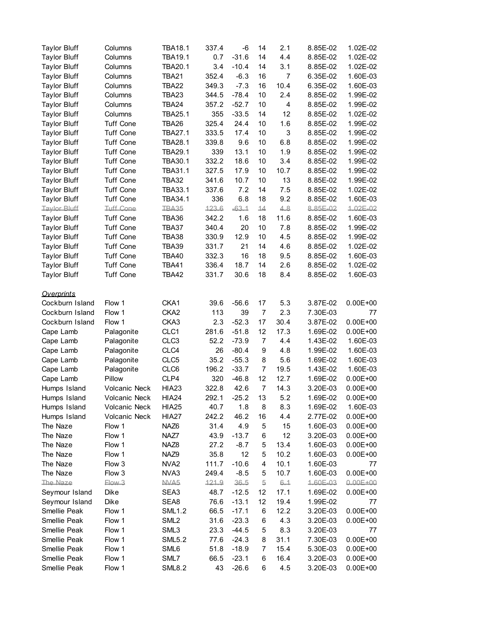| <b>Taylor Bluff</b> | Columns              | <b>TBA18.1</b>   | 337.4 | -6      | 14             | 2.1            | 8.85E-02 | 1.02E-02     |
|---------------------|----------------------|------------------|-------|---------|----------------|----------------|----------|--------------|
| <b>Taylor Bluff</b> | Columns              | <b>TBA19.1</b>   | 0.7   | $-31.6$ | 14             | 4.4            | 8.85E-02 | 1.02E-02     |
| <b>Taylor Bluff</b> | Columns              | <b>TBA20.1</b>   | 3.4   | $-10.4$ | 14             | 3.1            | 8.85E-02 | 1.02E-02     |
| <b>Taylor Bluff</b> | Columns              | <b>TBA21</b>     | 352.4 | $-6.3$  | 16             | $\overline{7}$ | 6.35E-02 | 1.60E-03     |
| <b>Taylor Bluff</b> | Columns              | <b>TBA22</b>     | 349.3 | $-7.3$  | 16             | 10.4           | 6.35E-02 | 1.60E-03     |
| <b>Taylor Bluff</b> | Columns              | <b>TBA23</b>     | 344.5 | $-78.4$ | 10             | 2.4            | 8.85E-02 | 1.99E-02     |
| <b>Taylor Bluff</b> | Columns              | TBA24            | 357.2 | $-52.7$ | 10             | 4              | 8.85E-02 | 1.99E-02     |
| <b>Taylor Bluff</b> | Columns              | <b>TBA25.1</b>   | 355   | $-33.5$ | 14             | 12             | 8.85E-02 | 1.02E-02     |
| <b>Taylor Bluff</b> | <b>Tuff Cone</b>     | TBA26            | 325.4 | 24.4    | 10             | 1.6            | 8.85E-02 | 1.99E-02     |
| <b>Taylor Bluff</b> | <b>Tuff Cone</b>     | <b>TBA27.1</b>   | 333.5 | 17.4    | 10             | 3              | 8.85E-02 | 1.99E-02     |
| <b>Taylor Bluff</b> | <b>Tuff Cone</b>     | <b>TBA28.1</b>   | 339.8 | 9.6     | 10             | 6.8            | 8.85E-02 | 1.99E-02     |
| <b>Taylor Bluff</b> | <b>Tuff Cone</b>     | <b>TBA29.1</b>   | 339   | 13.1    | 10             | 1.9            | 8.85E-02 | 1.99E-02     |
| <b>Taylor Bluff</b> | <b>Tuff Cone</b>     | TBA30.1          | 332.2 | 18.6    | 10             | 3.4            | 8.85E-02 | 1.99E-02     |
| <b>Taylor Bluff</b> | <b>Tuff Cone</b>     | TBA31.1          | 327.5 | 17.9    | 10             | 10.7           | 8.85E-02 | 1.99E-02     |
| <b>Taylor Bluff</b> | <b>Tuff Cone</b>     | <b>TBA32</b>     | 341.6 | 10.7    | 10             | 13             | 8.85E-02 | 1.99E-02     |
| <b>Taylor Bluff</b> | <b>Tuff Cone</b>     | TBA33.1          | 337.6 | 7.2     | 14             | 7.5            | 8.85E-02 | 1.02E-02     |
| <b>Taylor Bluff</b> | <b>Tuff Cone</b>     | TBA34.1          | 336   | 6.8     | 18             | 9.2            | 8.85E-02 | 1.60E-03     |
| <b>Taylor Bluff</b> | <b>Tuff Cone</b>     | TBA35            | 123.6 | $-63.1$ | 14             | 4.8            | 8.85E-02 | 1.02E-02     |
| <b>Taylor Bluff</b> | <b>Tuff Cone</b>     | TBA36            | 342.2 | 1.6     | 18             | 11.6           | 8.85E-02 | 1.60E-03     |
| <b>Taylor Bluff</b> | <b>Tuff Cone</b>     | TBA37            | 340.4 | 20      | 10             | 7.8            | 8.85E-02 | 1.99E-02     |
| <b>Taylor Bluff</b> | <b>Tuff Cone</b>     | <b>TBA38</b>     | 330.9 | 12.9    | 10             | 4.5            | 8.85E-02 | 1.99E-02     |
| <b>Taylor Bluff</b> | <b>Tuff Cone</b>     | <b>TBA39</b>     | 331.7 | 21      | 14             | 4.6            | 8.85E-02 | 1.02E-02     |
| <b>Taylor Bluff</b> | <b>Tuff Cone</b>     | <b>TBA40</b>     | 332.3 | 16      | 18             | 9.5            | 8.85E-02 | 1.60E-03     |
| <b>Taylor Bluff</b> | <b>Tuff Cone</b>     | <b>TBA41</b>     | 336.4 | 18.7    | 14             | 2.6            | 8.85E-02 | 1.02E-02     |
| <b>Taylor Bluff</b> | <b>Tuff Cone</b>     | TBA42            | 331.7 | 30.6    | 18             | 8.4            | 8.85E-02 | 1.60E-03     |
|                     |                      |                  |       |         |                |                |          |              |
| <b>Overprints</b>   |                      |                  |       |         |                |                |          |              |
| Cockburn Island     | Flow 1               | CKA1             | 39.6  | $-56.6$ | 17             | 5.3            | 3.87E-02 | $0.00E + 00$ |
| Cockburn Island     | Flow 1               | CKA <sub>2</sub> | 113   | 39      | $\overline{7}$ | 2.3            | 7.30E-03 | 77           |
| Cockburn Island     | Flow 1               | CKA3             | 2.3   | $-52.3$ | 17             | 30.4           | 3.87E-02 | $0.00E + 00$ |
| Cape Lamb           | Palagonite           | CLC1             | 281.6 | $-51.8$ | 12             | 17.3           | 1.69E-02 | $0.00E + 00$ |
| Cape Lamb           | Palagonite           | CLC <sub>3</sub> | 52.2  | $-73.9$ | $\overline{7}$ | 4.4            | 1.43E-02 | 1.60E-03     |
| Cape Lamb           | Palagonite           | CLC4             | 26    | $-80.4$ | 9              | 4.8            | 1.99E-02 | 1.60E-03     |
| Cape Lamb           | Palagonite           | CLC5             | 35.2  | $-55.3$ | 8              | 5.6            | 1.69E-02 | 1.60E-03     |
| Cape Lamb           | Palagonite           | CLC6             | 196.2 | $-33.7$ | $\overline{7}$ | 19.5           | 1.43E-02 | 1.60E-03     |
| Cape Lamb           | Pillow               | CLP4             | 320   | $-46.8$ | 12             | 12.7           | 1.69E-02 | $0.00E + 00$ |
| Humps Island        | <b>Volcanic Neck</b> | <b>HIA23</b>     | 322.8 | 42.6    | $\overline{7}$ | 14.3           | 3.20E-03 | $0.00E + 00$ |
| Humps Island        | Volcanic Neck        | <b>HIA24</b>     | 292.1 | $-25.2$ | 13             | 5.2            | 1.69E-02 | $0.00E + 00$ |
| Humps Island        | Volcanic Neck        | <b>HIA25</b>     | 40.7  | 1.8     | 8              | 8.3            | 1.69E-02 | 1.60E-03     |
| Humps Island        | Volcanic Neck        | <b>HIA27</b>     | 242.2 | 46.2    | 16             | 4.4            | 2.77E-02 | $0.00E + 00$ |
| The Naze            | Flow 1               | NAZ <sub>6</sub> | 31.4  | 4.9     | 5              | 15             | 1.60E-03 | $0.00E + 00$ |
| The Naze            | Flow 1               | NAZ7             | 43.9  | $-13.7$ | 6              | 12             | 3.20E-03 | $0.00E + 00$ |
| The Naze            | Flow 1               | NAZ8             | 27.2  | $-8.7$  | 5              | 13.4           | 1.60E-03 | $0.00E + 00$ |
| The Naze            | Flow 1               | NAZ9             | 35.8  | 12      | 5              | 10.2           | 1.60E-03 | $0.00E + 00$ |
| The Naze            | Flow 3               | NVA <sub>2</sub> | 111.7 | $-10.6$ | 4              | 10.1           | 1.60E-03 | 77           |
| The Naze            | Flow 3               | NVA3             | 249.4 | $-8.5$  | 5              | 10.7           | 1.60E-03 | $0.00E + 00$ |
| The Naze            | Flow 3               | NVA5             | 121.9 | 36.5    | $\overline{5}$ | $6 - 1$        | 1.60E-03 | $0.00E + 00$ |
| Seymour Island      | Dike                 | SEA3             | 48.7  | $-12.5$ | 12             | 17.1           | 1.69E-02 | $0.00E + 00$ |
| Seymour Island      | Dike                 | SEA8             | 76.6  | $-13.1$ | 12             | 19.4           | 1.99E-02 | 77           |
| Smellie Peak        | Flow 1               | <b>SML1.2</b>    | 66.5  | $-17.1$ | 6              | 12.2           | 3.20E-03 | $0.00E + 00$ |
| Smellie Peak        | Flow 1               | SML <sub>2</sub> | 31.6  | $-23.3$ | 6              | 4.3            | 3.20E-03 | $0.00E + 00$ |
| Smellie Peak        | Flow 1               | SML3             | 23.3  | $-44.5$ | 5              | 8.3            | 3.20E-03 | 77           |
| Smellie Peak        | Flow 1               | <b>SML5.2</b>    | 77.6  | $-24.3$ | 8              | 31.1           | 7.30E-03 | $0.00E + 00$ |
| Smellie Peak        | Flow 1               | SML6             | 51.8  | $-18.9$ | 7              | 15.4           | 5.30E-03 | $0.00E + 00$ |
| Smellie Peak        | Flow 1               | SML7             | 66.5  | $-23.1$ | 6              | 16.4           | 3.20E-03 | $0.00E + 00$ |
| Smellie Peak        | Flow 1               | <b>SML8.2</b>    | 43    | $-26.6$ | 6              | 4.5            | 3.20E-03 | $0.00E + 00$ |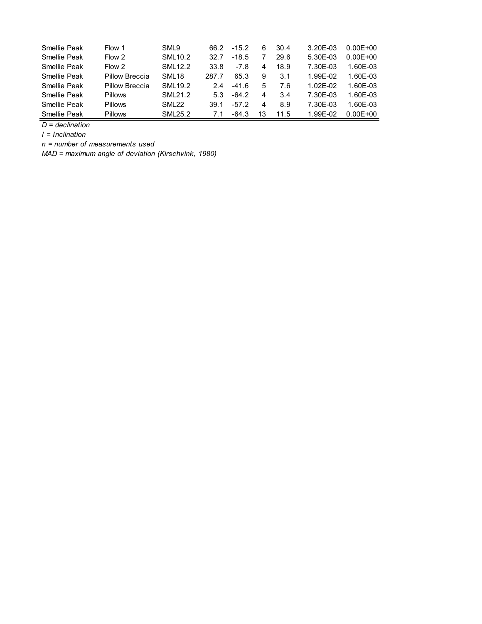| Smellie Peak | Flow 1         | SML9              | 66.2  | $-15.2$ | 6  | 30.4 | 3.20E-03     | $0.00E + 00$ |
|--------------|----------------|-------------------|-------|---------|----|------|--------------|--------------|
| Smellie Peak | Flow 2         | <b>SML10.2</b>    | 32.7  | $-18.5$ |    | 29.6 | 5.30E-03     | $0.00E + 00$ |
| Smellie Peak | Flow 2         | SML 12.2          | 33.8  | $-7.8$  | 4  | 18.9 | 7.30F-03     | 1.60F-03     |
| Smellie Peak | Pillow Breccia | SML <sub>18</sub> | 287.7 | 65.3    | 9  | 3.1  | 1.99F-02     | 1.60F-03     |
| Smellie Peak | Pillow Breccia | SML 19.2          | 24    | $-416$  | 5  | 7.6  | $1.02F - 02$ | 1.60F-03     |
| Smellie Peak | <b>Pillows</b> | SML 21.2          | 53    | -64.2   | 4  | 3.4  | 7.30F-03     | 1.60F-03     |
| Smellie Peak | <b>Pillows</b> | SMI 22            | 39.1  | $-57.2$ | 4  | 8.9  | 7.30F-03     | 1.60F-03     |
| Smellie Peak | <b>Pillows</b> | <b>SML25.2</b>    | 7.1   | -64.3   | 13 | 11.5 | 1.99F-02     | $0.00F + 00$ |

*D = declination*

*I = Inclination*

*n = number of measurements used*

*MAD = maximum angle of deviation (Kirschvink, 1980)*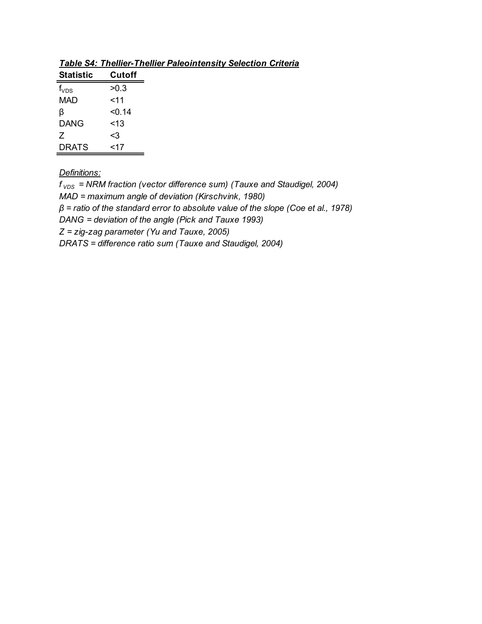| Statistic | Cutoff |
|-----------|--------|
| $f_{VDS}$ | >0.3   |
| MAD       | $<$ 11 |
| ß         | <∩ 14  |
| DANG      | $<$ 13 |
| 7         | <3     |
| DRATS     | <17    |

*Table S4: Thellier-Thellier Paleointensity Selection Criteria*

*Definitions:*

*f VDS = NRM fraction (vector difference sum) (Tauxe and Staudigel, 2004) MAD = maximum angle of deviation (Kirschvink, 1980) β = ratio of the standard error to absolute value of the slope (Coe et al., 1978) DANG = deviation of the angle (Pick and Tauxe 1993) Z = zig-zag parameter (Yu and Tauxe, 2005) DRATS = difference ratio sum (Tauxe and Staudigel, 2004)*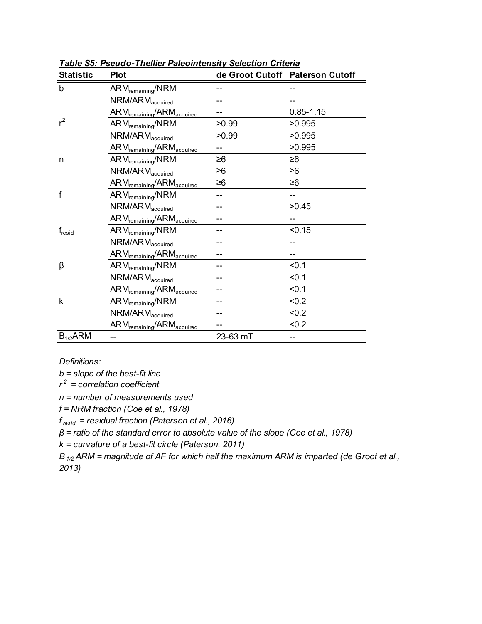| <b>Statistic</b> | Plot                                              |          | de Groot Cutoff Paterson Cutoff |
|------------------|---------------------------------------------------|----------|---------------------------------|
| b                | $ARM_{\text{remaining}}/NRM$                      |          |                                 |
|                  | NRM/ARM <sub>acquired</sub>                       |          |                                 |
|                  | $ARM_{\text{remaining}}/ARM_{\text{acquired}}$    |          | $0.85 - 1.15$                   |
| $r^2$            | ARM <sub>remaining</sub> /NRM                     | >0.99    | >0.995                          |
|                  | NRM/ARM <sub>acquired</sub>                       | >0.99    | >0.995                          |
|                  | ARM <sub>remaining</sub> /ARM <sub>acquired</sub> |          | >0.995                          |
| n                | ARM <sub>remaining</sub> /NRM                     | ≥6       | ≥6                              |
|                  | NRM/ARM <sub>acquired</sub>                       | ≥6       | ≥6                              |
|                  | ARM <sub>remaining</sub> /ARM <sub>acquired</sub> | ≥6       | ≥6                              |
| f                | $ARM_{\text{remaining}}/NRM$                      | --       | --                              |
|                  | NRM/ARM <sub>acquired</sub>                       |          | >0.45                           |
|                  | ARM <sub>remaining</sub> /ARM <sub>acquired</sub> |          |                                 |
| $f_{\rm{resid}}$ | ARM <sub>remaining</sub> /NRM                     |          | < 0.15                          |
|                  | NRM/ARM <sub>acquired</sub>                       |          |                                 |
|                  | $ARM_{\text{remaining}}/ARM_{\text{acquired}}$    |          |                                 |
| β                | ARM <sub>remaining</sub> /NRM                     |          | < 0.1                           |
|                  | $NRM/ARM_{acquired}$                              |          | < 0.1                           |
|                  | ARM <sub>remaining</sub> /ARM <sub>acquired</sub> |          | < 0.1                           |
| k                | $ARM_{remaining}/NRM$                             |          | < 0.2                           |
|                  | $NRM/ARM_{acquired}$                              |          | < 0.2                           |
|                  | ARM <sub>remaining</sub> /ARM <sub>acquired</sub> |          | < 0.2                           |
| $B_{1/2}$ ARM    |                                                   | 23-63 mT |                                 |

*Table S5: Pseudo-Thellier Paleointensity Selection Criteria*

*Definitions:*

*b = slope of the best-fit line*

*r 2 = correlation coefficient*

*n = number of measurements used*

*f = NRM fraction (Coe et al., 1978)*

*f resid = residual fraction (Paterson et al., 2016)*

*β = ratio of the standard error to absolute value of the slope (Coe et al., 1978)*

*k = curvature of a best-fit circle (Paterson, 2011)*

*B1/2 ARM = magnitude of AF for which half the maximum ARM is imparted (de Groot et al., 2013)*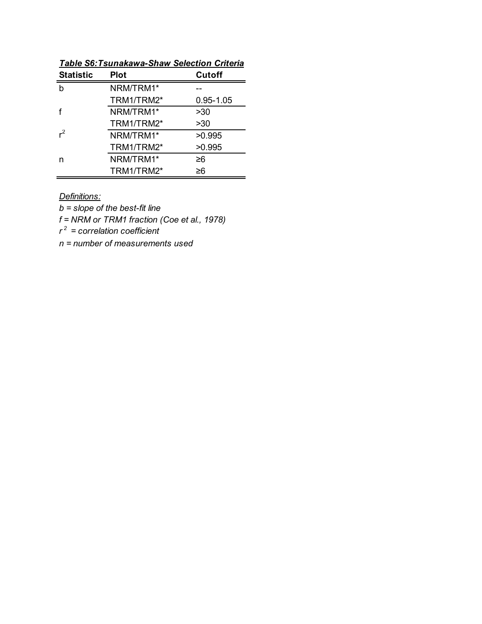| <b>Statistic</b> | <b>Plot</b> | Cutoff        |
|------------------|-------------|---------------|
| h                | NRM/TRM1*   |               |
|                  | TRM1/TRM2*  | $0.95 - 1.05$ |
|                  | NRM/TRM1*   | >30           |
|                  | TRM1/TRM2*  | >30           |
| $r^2$            | NRM/TRM1*   | >0.995        |
|                  | TRM1/TRM2*  | >0.995        |
| n                | NRM/TRM1*   | ≥6            |
|                  | TRM1/TRM2*  | ≥6            |

*Table S6:Tsunakawa-Shaw Selection Criteria*

*Definitions:*

*b = slope of the best-fit line*

*f = NRM or TRM1 fraction (Coe et al., 1978)*

*r 2 = correlation coefficient*

*n = number of measurements used*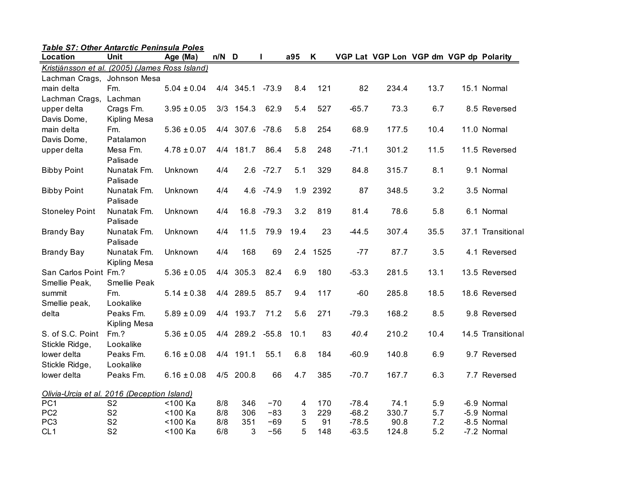| Table S7: Other Antarctic Peninsula Poles      |                                  |                    |            |                 |                |        |           |                    |                                        |            |                            |
|------------------------------------------------|----------------------------------|--------------------|------------|-----------------|----------------|--------|-----------|--------------------|----------------------------------------|------------|----------------------------|
| Location                                       | Unit                             | Age (Ma)           | n/N        | D               | П              | a95    | K         |                    | VGP Lat VGP Lon VGP dm VGP dp Polarity |            |                            |
| Kristjánsson et al. (2005) (James Ross Island) |                                  |                    |            |                 |                |        |           |                    |                                        |            |                            |
| Lachman Crags, Johnson Mesa                    |                                  |                    |            |                 |                |        |           |                    |                                        |            |                            |
| main delta                                     | Fm.                              | $5.04 \pm 0.04$    |            | 4/4 345.1       | $-73.9$        | 8.4    | 121       | 82                 | 234.4                                  | 13.7       | 15.1 Normal                |
| Lachman Crags,                                 | Lachman                          |                    |            |                 |                |        |           |                    |                                        |            |                            |
| upper delta                                    | Crags Fm.                        | $3.95 \pm 0.05$    |            | 3/3 154.3       | 62.9           | 5.4    | 527       | $-65.7$            | 73.3                                   | 6.7        | 8.5 Reversed               |
| Davis Dome,                                    | Kipling Mesa                     |                    |            |                 |                |        |           |                    |                                        |            |                            |
| main delta                                     | Fm.                              | $5.36 \pm 0.05$    |            | 4/4 307.6 -78.6 |                | 5.8    | 254       | 68.9               | 177.5                                  | 10.4       | 11.0 Normal                |
| Davis Dome,                                    | Patalamon                        |                    |            |                 |                |        |           |                    |                                        |            |                            |
| upper delta                                    | Mesa Fm.<br>Palisade             | $4.78 \pm 0.07$    |            | 4/4 181.7       | 86.4           | 5.8    | 248       | $-71.1$            | 301.2                                  | 11.5       | 11.5 Reversed              |
| <b>Bibby Point</b>                             | Nunatak Fm.<br>Palisade          | Unknown            | 4/4        |                 | $2.6 - 72.7$   | 5.1    | 329       | 84.8               | 315.7                                  | 8.1        | 9.1 Normal                 |
| <b>Bibby Point</b>                             | Nunatak Fm.<br>Palisade          | Unknown            | 4/4        |                 | 4.6 -74.9      |        | 1.9 2392  | 87                 | 348.5                                  | 3.2        | 3.5 Normal                 |
| <b>Stoneley Point</b>                          | Nunatak Fm.<br>Palisade          | Unknown            | 4/4        | 16.8            | $-79.3$        | 3.2    | 819       | 81.4               | 78.6                                   | 5.8        | 6.1 Normal                 |
| <b>Brandy Bay</b>                              | Nunatak Fm.<br>Palisade          | Unknown            | 4/4        | 11.5            | 79.9           | 19.4   | 23        | $-44.5$            | 307.4                                  | 35.5       | 37.1 Transitional          |
| <b>Brandy Bay</b>                              | Nunatak Fm.<br>Kipling Mesa      | Unknown            | 4/4        | 168             | 69             | 2.4    | 1525      | $-77$              | 87.7                                   | 3.5        | 4.1 Reversed               |
| San Carlos Point Fm.?<br>Smellie Peak,         | Smellie Peak                     | $5.36 \pm 0.05$    |            | 4/4 305.3       | 82.4           | 6.9    | 180       | $-53.3$            | 281.5                                  | 13.1       | 13.5 Reversed              |
| summit<br>Smellie peak,                        | Fm.<br>Lookalike                 | $5.14 \pm 0.38$    |            | 4/4 289.5       | 85.7           | 9.4    | 117       | $-60$              | 285.8                                  | 18.5       | 18.6 Reversed              |
| delta                                          | Peaks Fm.<br>Kipling Mesa        | $5.89 \pm 0.09$    |            | 4/4 193.7       | 71.2           | 5.6    | 271       | $-79.3$            | 168.2                                  | 8.5        | 9.8 Reversed               |
| S. of S.C. Point<br>Stickle Ridge,             | $Fm.$ ?<br>Lookalike             | $5.36 \pm 0.05$    |            | 4/4 289.2       | $-55.8$        | 10.1   | 83        | 40.4               | 210.2                                  | 10.4       | 14.5 Transitional          |
| lower delta<br>Stickle Ridge,                  | Peaks Fm.<br>Lookalike           | $6.16 \pm 0.08$    |            | 4/4 191.1       | 55.1           | 6.8    | 184       | $-60.9$            | 140.8                                  | 6.9        | 9.7 Reversed               |
| lower delta                                    | Peaks Fm.                        | $6.16 \pm 0.08$    |            | 4/5 200.8       | 66             | 4.7    | 385       | $-70.7$            | 167.7                                  | 6.3        | 7.7 Reversed               |
| Olivia-Urcia et al. 2016 (Deception Island)    |                                  |                    |            |                 |                |        |           |                    |                                        |            |                            |
| PC <sub>1</sub><br>PC <sub>2</sub>             | S <sub>2</sub>                   | <100 Ka<br><100 Ka | 8/8        | 346<br>306      | $-70$<br>$-83$ | 4      | 170       | $-78.4$            | 74.1<br>330.7                          | 5.9<br>5.7 | -6.9 Normal<br>-5.9 Normal |
| PC <sub>3</sub>                                | S <sub>2</sub><br>S <sub>2</sub> | <100 Ka            | 8/8<br>8/8 | 351             | $-69$          | 3<br>5 | 229<br>91 | $-68.2$<br>$-78.5$ | 90.8                                   | 7.2        | -8.5 Normal                |
| CL <sub>1</sub>                                | S <sub>2</sub>                   | <100 Ka            | 6/8        | 3               | $-56$          | 5      | 148       | $-63.5$            | 124.8                                  | 5.2        | -7.2 Normal                |
|                                                |                                  |                    |            |                 |                |        |           |                    |                                        |            |                            |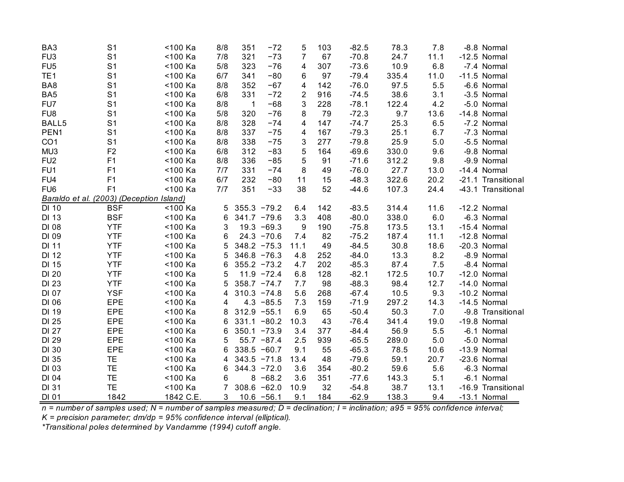| BA <sub>3</sub>  | S <sub>1</sub>                           | <100 Ka   | 8/8 | 351            | $-72$         | 5              | 103 | $-82.5$ | 78.3  | 7.8  | -8.8 Normal        |
|------------------|------------------------------------------|-----------|-----|----------------|---------------|----------------|-----|---------|-------|------|--------------------|
| FU <sub>3</sub>  | S <sub>1</sub>                           | <100 Ka   | 7/8 | 321            | $-73$         | $\overline{7}$ | 67  | $-70.8$ | 24.7  | 11.1 | -12.5 Normal       |
| FU <sub>5</sub>  | S <sub>1</sub>                           | <100 Ka   | 5/8 | 323            | $-76$         | 4              | 307 | $-73.6$ | 10.9  | 6.8  | -7.4 Normal        |
| TE <sub>1</sub>  | S <sub>1</sub>                           | <100 Ka   | 6/7 | 341            | $-80$         | 6              | 97  | $-79.4$ | 335.4 | 11.0 | $-11.5$ Normal     |
| BA8              | S <sub>1</sub>                           | <100 Ka   | 8/8 | 352            | $-67$         | $\overline{4}$ | 142 | $-76.0$ | 97.5  | 5.5  | -6.6 Normal        |
| BA <sub>5</sub>  | S <sub>1</sub>                           | <100 Ka   | 6/8 | 331            | $-72$         | $\overline{2}$ | 916 | $-74.5$ | 38.6  | 3.1  | -3.5 Normal        |
| FU7              | S <sub>1</sub>                           | <100 Ka   | 8/8 | $\mathbf{1}$   | $-68$         | 3              | 228 | $-78.1$ | 122.4 | 4.2  | -5.0 Normal        |
| FU <sub>8</sub>  | S <sub>1</sub>                           | <100 Ka   | 5/8 | 320            | $-76$         | 8              | 79  | $-72.3$ | 9.7   | 13.6 | -14.8 Normal       |
| BALL5            | S <sub>1</sub>                           | <100 Ka   | 8/8 | 328            | $-74$         | 4              | 147 | $-74.7$ | 25.3  | 6.5  | -7.2 Normal        |
| PEN <sub>1</sub> | S <sub>1</sub>                           | <100 Ka   | 8/8 | 337            | $-75$         | 4              | 167 | $-79.3$ | 25.1  | 6.7  | -7.3 Normal        |
| CO <sub>1</sub>  | S <sub>1</sub>                           | <100 Ka   | 8/8 | 338            | $-75$         | 3              | 277 | $-79.8$ | 25.9  | 5.0  | -5.5 Normal        |
| MU3              | F <sub>2</sub>                           | <100 Ka   | 6/8 | 312            | $-83$         | 5              | 164 | $-69.6$ | 330.0 | 9.6  | -9.8 Normal        |
| FU <sub>2</sub>  | F1                                       | <100 Ka   | 8/8 | 336            | $-85$         | 5              | 91  | $-71.6$ | 312.2 | 9.8  | -9.9 Normal        |
| FU <sub>1</sub>  | F1                                       | <100 Ka   | 7/7 | 331            | $-74$         | 8              | 49  | $-76.0$ | 27.7  | 13.0 | -14.4 Normal       |
| FU4              | F1                                       | <100 Ka   | 6/7 | 232            | $-80$         | 11             | 15  | $-48.3$ | 322.6 | 20.2 | -21.1 Transitional |
| FU <sub>6</sub>  | F1                                       | <100 Ka   | 7/7 | 351            | $-33$         | 38             | 52  | $-44.6$ | 107.3 | 24.4 | -43.1 Transitional |
|                  | Baraldo et al. (2003) (Deception Island) |           |     |                |               |                |     |         |       |      |                    |
| <b>DI 10</b>     | <b>BSF</b>                               | <100 Ka   | 5   | $355.3 - 79.2$ |               | 6.4            | 142 | $-83.5$ | 314.4 | 11.6 | -12.2 Normal       |
| <b>DI 13</b>     | <b>BSF</b>                               | <100 Ka   | 6   | $341.7 - 79.6$ |               | 3.3            | 408 | $-80.0$ | 338.0 | 6.0  | -6.3 Normal        |
| DI 08            | <b>YTF</b>                               | <100 Ka   | 3   |                | $19.3 - 69.3$ | 9              | 190 | $-75.8$ | 173.5 | 13.1 | -15.4 Normal       |
| DI 09            | <b>YTF</b>                               | <100 Ka   | 6   |                | $24.3 - 70.6$ | 7.4            | 82  | $-75.2$ | 187.4 | 11.1 | -12.8 Normal       |
| <b>DI 11</b>     | <b>YTF</b>                               | <100 Ka   | 5   | $348.2 -75.3$  |               | 11.1           | 49  | $-84.5$ | 30.8  | 18.6 | -20.3 Normal       |
| <b>DI 12</b>     | <b>YTF</b>                               | <100 Ka   | 5   | $346.8 - 76.3$ |               | 4.8            | 252 | $-84.0$ | 13.3  | 8.2  | -8.9 Normal        |
| DI 15            | <b>YTF</b>                               | <100 Ka   | 6   | $355.2 - 73.2$ |               | 4.7            | 202 | $-85.3$ | 87.4  | 7.5  | -8.4 Normal        |
| DI 20            | <b>YTF</b>                               | <100 Ka   | 5   |                | $11.9 - 72.4$ | 6.8            | 128 | $-82.1$ | 172.5 | 10.7 | -12.0 Normal       |
| DI 23            | <b>YTF</b>                               | <100 Ka   | 5   | $358.7 -74.7$  |               | 7.7            | 98  | $-88.3$ | 98.4  | 12.7 | -14.0 Normal       |
| DI 07            | <b>YSF</b>                               | <100 Ka   | 4   | $310.3 - 74.8$ |               | 5.6            | 268 | $-67.4$ | 10.5  | 9.3  | -10.2 Normal       |
| DI 06            | EPE                                      | <100 Ka   | 4   |                | $4.3 - 85.5$  | 7.3            | 159 | $-71.9$ | 297.2 | 14.3 | -14.5 Normal       |
| DI 19            | EPE                                      | <100 Ka   | 8   | $312.9 - 55.1$ |               | 6.9            | 65  | $-50.4$ | 50.3  | 7.0  | -9.8 Transitional  |
| DI 25            | EPE                                      | <100 Ka   | 6   | 331.1          | $-80.2$       | 10.3           | 43  | $-76.4$ | 341.4 | 19.0 | -19.8 Normal       |
| DI 27            | EPE                                      | <100 Ka   | 6   | $350.1 - 73.9$ |               | 3.4            | 377 | $-84.4$ | 56.9  | 5.5  | -6.1 Normal        |
| DI 29            | EPE                                      | <100 Ka   | 5   |                | $55.7 - 87.4$ | 2.5            | 939 | $-65.5$ | 289.0 | 5.0  | -5.0 Normal        |
| DI 30            | <b>EPE</b>                               | <100 Ka   | 6   | $338.5 -60.7$  |               | 9.1            | 55  | $-65.3$ | 78.5  | 10.6 | -13.9 Normal       |
| DI 35            | TE                                       | <100 Ka   | 4   | $343.5 - 71.8$ |               | 13.4           | 48  | $-79.6$ | 59.1  | 20.7 | -23.6 Normal       |
| DI 03            | <b>TE</b>                                | <100 Ka   | 6   | 344.3          | $-72.0$       | 3.6            | 354 | $-80.2$ | 59.6  | 5.6  | -6.3 Normal        |
| DI 04            | <b>TE</b>                                | <100 Ka   | 6   | 8              | $-68.2$       | 3.6            | 351 | $-77.6$ | 143.3 | 5.1  | -6.1 Normal        |
| <b>DI 31</b>     | TE                                       | <100 Ka   | 7   | 308.6          | $-62.0$       | 10.9           | 32  | $-54.8$ | 38.7  | 13.1 | -16.9 Transitional |
| DI 01            | 1842                                     | 1842 C.E. | 3   |                | $10.6 - 56.1$ | 9.1            | 184 | $-62.9$ | 138.3 | 9.4  | -13.1 Normal       |

*n = number of samples used; N = number of samples measured; D = declination; I = inclination; a95 = 95% confidence interval;*

*K = precision parameter; dm/dp = 95% confidence interval (elliptical).*

*\*Transitional poles determined by Vandamme (1994) cutoff angle.*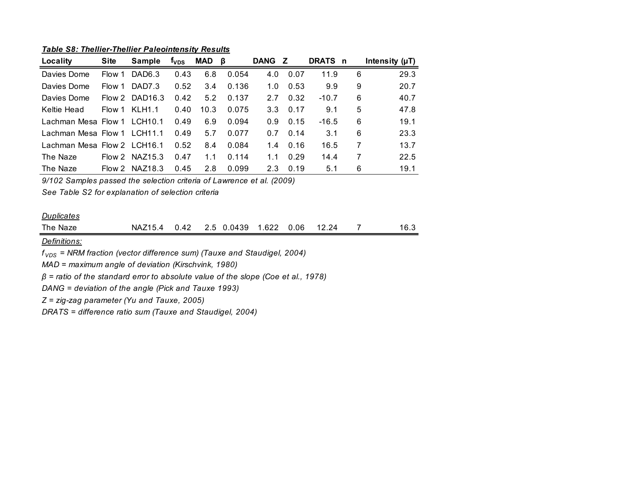*Table S8: Thellier-Thellier Paleointensity Results*

| Locality                    | <b>Site</b> | <b>Sample</b>      | t <sub>vds</sub> | MAD  | - B   | <b>DANG</b> | Z.   | <b>DRATS</b> | n | Intensity $(\mu T)$ |
|-----------------------------|-------------|--------------------|------------------|------|-------|-------------|------|--------------|---|---------------------|
| Davies Dome                 | Flow 1      | DAD <sub>6.3</sub> | 0.43             | 6.8  | 0.054 | 4.0         | 0.07 | 11.9         | 6 | 29.3                |
| Davies Dome                 | Flow 1      | DAD <sub>7.3</sub> | 0.52             | 3.4  | 0.136 | 1.0         | 0.53 | 9.9          | 9 | 20.7                |
| Davies Dome                 |             | Flow 2 DAD16.3     | 0.42             | 5.2  | 0.137 | 2.7         | 0.32 | $-10.7$      | 6 | 40.7                |
| Keltie Head                 | Flow 1      | <b>KLH1.1</b>      | 0.40             | 10.3 | 0.075 | 3.3         | 0.17 | 9.1          | 5 | 47.8                |
| Lachman Mesa Flow 1 LCH10.1 |             |                    | 0.49             | 6.9  | 0.094 | 0.9         | 0.15 | $-16.5$      | 6 | 19.1                |
| Lachman Mesa Flow 1 LCH11.1 |             |                    | 0.49             | 5.7  | 0.077 | 0.7         | 0.14 | 3.1          | 6 | 23.3                |
| Lachman Mesa Flow 2 LCH16.1 |             |                    | 0.52             | 8.4  | 0.084 | 1.4         | 0.16 | 16.5         | 7 | 13.7                |
| The Naze                    |             | Flow $2$ NAZ15.3   | 0.47             | 1.1  | 0.114 | 1.1         | 0.29 | 14.4         | 7 | 22.5                |
| The Naze                    |             | Flow 2 NAZ18.3     | 0.45             | 2.8  | 0.099 | 2.3         | 0.19 | 5.1          | 6 | 19.1                |

*9/102 Samples passed the selection criteria of Lawrence et al. (2009)*

*See Table S2 for explanation of selection criteria*

## *Duplicates*

| The Naze | <b>NAZ15.4</b> | 0.42 | 0.0439<br>ソト | 1.622 | 0.06 | ? 24<br>$12.2^{\circ}$ | 16.3 |
|----------|----------------|------|--------------|-------|------|------------------------|------|

*Definitions:*

*f VDS = NRM fraction (vector difference sum) (Tauxe and Staudigel, 2004)*

*MAD = maximum angle of deviation (Kirschvink, 1980)*

*β = ratio of the standard error to absolute value of the slope (Coe et al., 1978)*

*DANG = deviation of the angle (Pick and Tauxe 1993)*

*Z = zig-zag parameter (Yu and Tauxe, 2005)*

*DRATS = difference ratio sum (Tauxe and Staudigel, 2004)*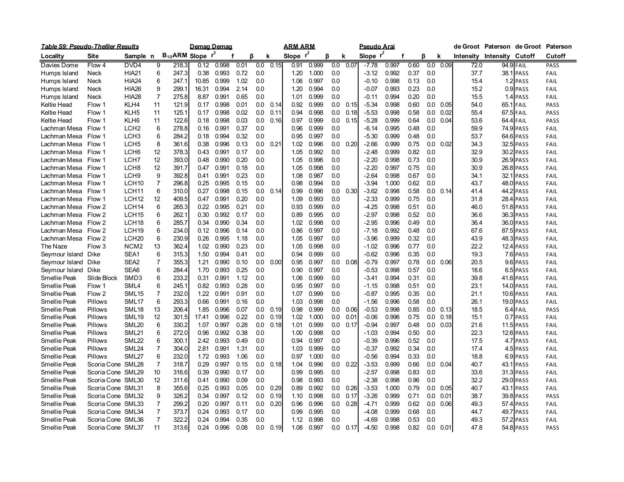| <u> Table S9: Pseudo-Thellier Results</u> |                   |                   |                |                              | <u>Demag Demag</u> |       |      |         |      | <u>ARM ARM</u> |       |     |      | <u>Pseudo Arai</u> |       |      |         |      |      | de Groot Paterson   | de Groot         | Paterson    |
|-------------------------------------------|-------------------|-------------------|----------------|------------------------------|--------------------|-------|------|---------|------|----------------|-------|-----|------|--------------------|-------|------|---------|------|------|---------------------|------------------|-------------|
| Locality                                  | Site              | Sample n          |                | B <sub>1/2</sub> ARM Slope r |                    |       |      | ß       | k    | Slope $r^2$    |       | ß   | k    | Slope $r^2$        |       | f    | ß       | k    |      | Intensity Intensity | Cutoff           | Cutoff      |
| Davies Dome                               | Flow 4            | DVD4              | 9              | 218.3                        | 0.12               | 0.998 | 0.01 | 0.0     | 0.15 | 0.91           | 0.999 | 0.0 | 0.07 | $-7.78$            | 0.997 | 0.60 | 0.0     | 0.09 | 72.0 |                     | 94.9 FAIL        | PASS        |
| Humps Island                              | Neck              | <b>HIA21</b>      | 6              | 247.3                        | 0.38               | 0.993 | 0.72 | 0.0     |      | 1.20           | 1.000 | 0.0 |      | $-3.12$            | 0.992 | 0.37 | 0.0     |      | 37.7 | 38.1                | PASS             | <b>FAIL</b> |
| Humps Island                              | Neck              | <b>HIA24</b>      | 6              | 247.1                        | 10.85              | 0.999 | 1.02 | 0.0     |      | 1.06           | 0.997 | 0.0 |      | $-0.10$            | 0.998 | 0.13 | 0.0     |      | 15.4 |                     | 1.2 PASS         | FAIL        |
| Humps Island                              | Neck              | <b>HIA26</b>      | 9              | 299.1                        | 16.31              | 0.994 | 2.14 | 0.0     |      | 1.20           | 0.994 | 0.0 |      | $-0.07$            | 0.993 | 0.23 | 0.0     |      | 15.2 |                     | 0.9 PASS         | FAIL        |
| Humps Island                              | Neck              | <b>HIA28</b>      | $\overline{7}$ | 275.8                        | 8.87               | 0.991 | 0.65 | 0.0     |      | 1.01           | 0.999 | 0.0 |      | -0.11              | 0.994 | 0.20 | 0.0     |      | 15.5 |                     | 1.4 PASS         | FAIL        |
| <b>Keltie Head</b>                        | Flow 1            | KLH4              | 11             | 121.9                        | 0.17               | 0.998 | 0.01 | 0.0     | 0.14 | 0.92           | 0.999 | 0.0 | 0.15 | -5.34              | 0.998 | 0.60 | 0.0     | 0.05 | 54.0 |                     | 65.1 FAIL        | PASS        |
| Keltie Head                               | Flow 1            | KLH <sub>5</sub>  | 11             | 125.1                        | 0.17               | 0.998 | 0.02 | 0.0     | 0.11 | 0.94           | 0.998 | 0.0 | 0.18 | $-5.53$            | 0.998 | 0.58 | 0.0     | 0.02 | 55.4 |                     | $67.5$ FAIL      | <b>PASS</b> |
| Keltie Head                               | Flow 1            | KLH6              | 11             | 122.6                        | 0.18               | 0.998 | 0.03 | 0.0     | 0.16 | 0.97           | 0.999 | 0.0 | 0.15 | -5.28              | 0.999 | 0.64 | 0.0     | 0.04 | 53.6 |                     | 64.4 FAIL        | PASS        |
| Lachman Mesa                              | Flow 1            | LCH <sub>2</sub>  | 6              | 278.8                        | 0.16               | 0.991 | 0.37 | 0.0     |      | 0.96           | 0.999 | 0.0 |      | -6.14              | 0.995 | 0.48 | 0.0     |      | 59.9 |                     | 74.9 PASS        | FAIL        |
| Lachman Mesa                              | Flow 1            | LCH <sub>3</sub>  | 6              | 284.2                        | 0.18               | 0.994 | 0.32 | 0.0     |      | 0.95           | 0.997 | 0.0 |      | -5.30              | 0.999 | 0.48 | 0.0     |      | 53.7 |                     | 64.6 PASS        | FAIL        |
| Lachman Mesa                              | Flow 1            | LCH <sub>5</sub>  | 8              | 361.6                        | 0.38               | 0.996 | 0.13 | $0.0\,$ | 0.21 | 1.02           | 0.996 | 0.0 | 0.20 | -2.66              | 0.999 | 0.75 | $0.0\,$ | 0.02 | 34.3 | 32.5                | PASS             | FAIL        |
| Lachman Mesa                              | Flow 1            | LCH <sub>6</sub>  | 12             | 378.3                        | 0.43               | 0.991 | 0.17 | 0.0     |      | 1.05           | 0.992 | 0.0 |      | $-2.48$            | 0.999 | 0.82 | 0.0     |      | 32.9 |                     | 30.2 PASS        | FAIL        |
| Lachman Mesa                              | Flow 1            | LCH7              | 12             | 393.0                        | 0.48               | 0.990 | 0.20 | 0.0     |      | 1.05           | 0.996 | 0.0 |      | -2.20              | 0.998 | 0.73 | 0.0     |      | 30.9 |                     | 26.9 PASS        | FAIL        |
| Lachman Mesa                              | Flow 1            | LCH <sub>8</sub>  | 12             | 391.7                        | 0.47               | 0.991 | 0.18 | 0.0     |      | 1.05           | 0.998 | 0.0 |      | $-2.20$            | 0.997 | 0.75 | 0.0     |      | 30.9 |                     | 26.8 PASS        | FAIL        |
| Lachman Mesa                              | Flow 1            | LCH <sub>9</sub>  | 9              | 392.8                        | 0.41               | 0.991 | 0.23 | 0.0     |      | 1.08           | 0.987 | 0.0 |      | $-2.64$            | 0.998 | 0.67 | 0.0     |      | 34.1 | 32.1                | PASS             | FAIL        |
| Lachman Mesa                              | Flow 1            | LCH <sub>10</sub> | $\overline{7}$ | 296.8                        | 0.25               | 0.995 | 0.15 | 0.0     |      | 0.98           | 0.994 | 0.0 |      | $-3.94$            | 1.000 | 0.62 | 0.0     |      | 43.7 |                     | 48.0 PASS        | FAIL        |
| Lachman Mesa                              | Flow 1            | LCH <sub>11</sub> | 6              | 310.0                        | 0.27               | 0.998 | 0.15 | 0.0     | 0.14 | 0.99           | 0.996 | 0.0 | 0.30 | $-3.62$            | 0.998 | 0.58 | $0.0\,$ | 0.14 | 41.4 | 44.2                | PASS             | FAIL        |
| Lachman Mesa                              | Flow 1            | LCH <sub>12</sub> | 12             | 409.5                        | 0.47               | 0.991 | 0.20 | 0.0     |      | 1.09           | 0.993 | 0.0 |      | $-2.33$            | 0.999 | 0.75 | 0.0     |      | 31.8 |                     | 28.4 PASS        | FAIL        |
| Lachman Mesa                              | Flow 2            | LCH <sub>14</sub> | 6              | 265.3                        | 0.22               | 0.995 | 0.21 | 0.0     |      | 0.93           | 0.999 | 0.0 |      | $-4.25$            | 0.998 | 0.51 | 0.0     |      | 46.0 |                     | 51.8 PASS        | FAIL        |
| Lachman Mesa                              | Flow 2            | LCH <sub>15</sub> | 6              | 262.1                        | 0.30               | 0.992 | 0.17 | 0.0     |      | 0.89           | 0.995 | 0.0 |      | -2.97              | 0.998 | 0.52 | 0.0     |      | 36.6 |                     | 36.3 PASS        | FAIL        |
| Lachman Mesa                              | Flow 2            | LCH <sub>18</sub> | 6              | 285.                         | 0.34               | 0.990 | 0.34 | 0.0     |      | 1.02           | 0.998 | 0.0 |      | $-2.95$            | 0.996 | 0.49 | 0.0     |      | 36.4 |                     | 36.0 PASS        | FAIL        |
| Lachman Mesa                              | Flow 2            | LCH <sub>19</sub> | 6              | 234.0                        | 0.12               | 0.996 | 0.14 | 0.0     |      | 0.86           | 0.997 | 0.0 |      | $-7.18$            | 0.992 | 0.48 | 0.0     |      | 67.6 |                     | 87.5 PASS        | FAIL        |
| Lachman Mesa                              | Flow 2            | LCH <sub>20</sub> | 6              | 230.9                        | 0.26               | 0.995 | 1.18 | 0.0     |      | 1.05           | 0.997 | 0.0 |      | $-3.96$            | 0.999 | 0.32 | 0.0     |      | 43.9 |                     | 48.3 PASS        | FAIL        |
| The Naze                                  | Flow 3            | NCM <sub>2</sub>  | 13             | 362.4                        | 1.02               | 0.990 | 0.23 | 0.0     |      | 1.05           | 0.998 | 0.0 |      | $-1.02$            | 0.996 | 0.77 | 0.0     |      | 22.2 |                     | 12.4 PASS        | FAIL        |
| Seymour Island                            | <b>Dike</b>       | SEA1              | 6              | 315.3                        | 1.50               | 0.994 | 0.41 | 0.0     |      | 0.94           | 0.999 | 0.0 |      | $-0.62$            | 0.996 | 0.35 | 0.0     |      | 19.3 |                     | 7.6 PASS         | FAIL        |
| Seymour Island                            | Dike              | SEA <sub>2</sub>  | 7              | 355.3                        | 1.21               | 0.990 | 0.10 | 0.0     | 0.00 | 0.95           | 0.997 | 0.0 | 0.08 | $-0.79$            | 0.997 | 0.78 | $0.0\,$ | 0.06 | 20.5 |                     | 9.6 PASS         | FAIL        |
| Seymour Island                            | Dike              | SEA6              | 6              | 284.4                        | 1.70               | 0.993 | 0.25 | 0.0     |      | 0.90           | 0.997 | 0.0 |      | $-0.53$            | 0.998 | 0.57 | 0.0     |      | 18.6 |                     | 6.5 PASS         | FAIL        |
| Smellie Peak                              | Slide Block       | SMD3              | 6              | 233.2                        | 0.31               | 0.991 | 1.12 | 0.0     |      | 1.06           | 0.999 | 0.0 |      | -3.41              | 0.994 | 0.31 | 0.0     |      | 39.8 |                     | 41.6 PASS        | FAIL        |
| <b>Smellie Peak</b>                       | Flow 1            | SML4              | 6              | 245.1                        | 0.82               | 0.993 | 0.28 | 0.0     |      | 0.95           | 0.997 | 0.0 |      | $-1.15$            | 0.998 | 0.51 | 0.0     |      | 23.1 |                     | <b>14.0 PASS</b> | FAIL        |
| Smellie Peak                              | Flow 2            | SML <sub>15</sub> | 7              | 232.0                        | 1.22               | 0.991 | 0.91 | 0.0     |      | 1.07           | 0.999 | 0.0 |      | $-0.87$            | 0.995 | 0.35 | 0.0     |      | 21.1 |                     | <b>10.6 PASS</b> | FAIL        |
| <b>Smellie Peak</b>                       | Pillows           | SML17             | 6              | 293.3                        | 0.66               | 0.991 | 0.16 | 0.0     |      | 1.03           | 0.998 | 0.0 |      | $-1.56$            | 0.996 | 0.58 | 0.0     |      | 26.1 |                     | <b>19.0 PASS</b> | FAIL        |
| Smellie Peak                              | Pillows           | SML <sub>18</sub> | 13             | 206.4                        | 1.85               | 0.996 | 0.07 | 0.0     | 0.19 | 0.98           | 0.999 | 0.0 | 0.06 | $-0.53$            | 0.998 | 0.85 | 0.0     | 0.13 | 18.5 |                     | 6.4 FAIL         | PASS        |
| Smellie Peak                              | Pillows           | SML <sub>19</sub> | 12             | 301.5                        | 17.41              | 0.996 | 0.22 | 0.0     | 0.19 | 1.02           | 1.000 | 0.0 | 0.01 | $-0.06$            | 0.996 | 0.75 | 0.0     | 0.18 | 15.1 | 0.7                 | <b>PASS</b>      | FAIL        |
| Smellie Peak                              | Pillows           | SML20             | 6              | 330.2                        | 1.07               | 0.997 | 0.28 | 0.0     | 0.18 | 1.01           | 0.999 | 0.0 | 0.17 | $-0.94$            | 0.997 | 0.48 | 0.0     | 0.03 | 21.6 |                     | 11.5 PASS        | FAIL        |
| Smellie Peak                              | Pillows           | <b>SML21</b>      | 6              | 272.0                        | 0.96               | 0.992 | 0.38 | 0.0     |      | 1.00           | 0.998 | 0.0 |      | $-1.03$            | 0.994 | 0.50 | 0.0     |      | 22.3 |                     | <b>12.6 PASS</b> | FAIL        |
| Smellie Peak                              | Pillows           | SML22             | 6              | 300.1                        | 2.42               | 0.993 | 0.49 | 0.0     |      | 0.94           | 0.997 | 0.0 |      | $-0.39$            | 0.996 | 0.52 | 0.0     |      | 17.5 | 4.7                 | <b>PASS</b>      | FAIL        |
| Smellie Peak                              | Pillows           | SML24             | 7              | 304.0                        | 2.81               | 0.991 | 1.31 | 0.0     |      | 1.03           | 0.999 | 0.0 |      | -0.37              | 0.992 | 0.34 | 0.0     |      | 17.4 |                     | 4.5 PASS         | FAIL        |
| <b>Smellie Peak</b>                       | Pillows           | SML27             | 6              | 232.0                        | 1.72               | 0.993 | 1.06 | 0.0     |      | 0.97           | 1.000 | 0.0 |      | $-0.56$            | 0.994 | 0.33 | 0.0     |      | 18.8 | 6.9                 | <b>PASS</b>      | FAIL        |
| Smellie Peak                              | Scoria Cone SML28 |                   | $\overline{7}$ | 318.7                        | 0.29               | 0.997 | 0.15 | 0.0     | 0.18 | 1.04           | 0.996 | 0.0 | 0.22 | $-3.53$            | 0.999 | 0.66 | 0.0     | 0.04 | 40.7 | 43.1                | <b>PASS</b>      | FAIL        |
| Smellie Peak                              | Scoria Cone SML29 |                   | 10             | 316.6                        | 0.39               | 0.990 | 0.17 | 0.0     |      | 0.99           | 0.995 | 0.0 |      | $-2.57$            | 0.998 | 0.83 | 0.0     |      | 33.6 |                     | 31.3 PASS        | FAIL        |
| Smellie Peak                              | Scoria Cone SML30 |                   | 12             | 311.6                        | 0.41               | 0.990 | 0.09 | 0.0     |      | 0.98           | 0.993 | 0.0 |      | $-2.38$            | 0.998 | 0.96 | 0.0     |      | 32.2 |                     | 29.0 PASS        | FAIL        |
| Smellie Peak                              | Scoria Cone SML31 |                   | 8              | 355.6                        | 0.25               | 0.993 | 0.05 | 0.0     | 0.29 | 0.89           | 0.992 | 0.0 | 0.26 | $-3.53$            | 1.000 | 0.79 | 0.0     | 0.05 | 40.7 | 43.1                | PASS             | FAIL        |
| Smellie Peak                              | Scoria Cone SML32 |                   | 9              | 326.2                        | 0.34               | 0.997 | 0.12 | 0.0     | 0.19 | 1.10           | 0.998 | 0.0 | 0.17 | $-3.26$            | 0.999 | 0.71 | 0.0     | 0.01 | 38.7 |                     | 39.8 PASS        | PASS        |
| Smellie Peak                              | Scoria Cone SML33 |                   | 7              | 299.2                        | 0.20               | 0.997 | 0.11 | 0.0     | 0.20 | 0.96           | 0.996 | 0.0 | 0.28 | $-4.71$            | 0.999 | 0.62 | 0.0     | 0.06 | 49.3 | 57.4                | <b>PASS</b>      | FAIL        |
| Smellie Peak                              | Scoria Cone SML34 |                   | 7              | 373.7                        | 0.24               | 0.993 | 0.17 | 0.0     |      | 0.99           | 0.995 | 0.0 |      | -4.08              | 0.999 | 0.68 | 0.0     |      | 44.7 |                     | 49.7 PASS        | FAIL        |
| Smellie Peak                              | Scoria Cone SML36 |                   | $\overline{7}$ | 322.2                        | 0.24               | 0.994 | 0.35 | 0.0     |      | 1.12           | 0.998 | 0.0 |      | -4.69              | 0.998 | 0.53 | 0.0     |      | 49.3 |                     | 57.2 PASS        | FAIL        |
| Smellie Peak                              | Scoria Cone SML37 |                   | 11             | 313.6                        | 0.24               | 0.996 | 0.08 | $0.0\,$ | 0.19 | 1.08           | 0.997 | 0.0 | 0.17 | $-4.50$            | 0.998 | 0.82 | 0.0     | 0.01 | 47.8 |                     | 54.8 PASS        | PASS        |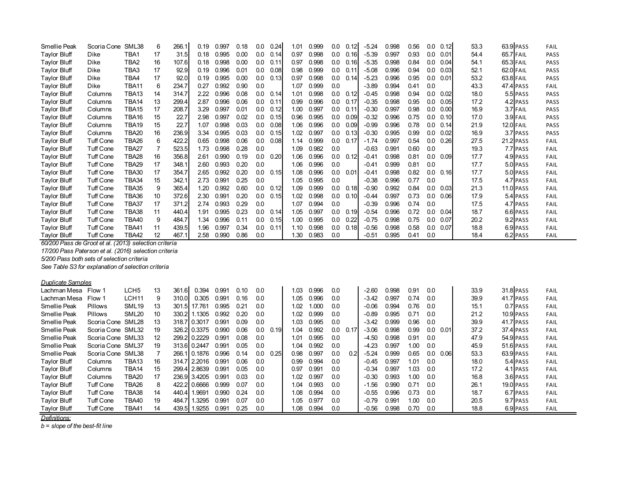| Smellie Peak        | Scoria Cone      | SML38        | 6  | 266.1 | 0.19 | 0.997 | 0.18 | 0.0 | 0.24 | 1.01 | 0.999 | 0.0     | 0.12 | $-5.24$ | 0.998 | 0.56          | 0.0 | 0.12 | 53.3 | 63.9 PASS | FAIL |
|---------------------|------------------|--------------|----|-------|------|-------|------|-----|------|------|-------|---------|------|---------|-------|---------------|-----|------|------|-----------|------|
| <b>Taylor Bluff</b> | Dike             | TBA1         | 17 | 31.5  | 0.18 | 0.995 | 0.00 | 0.0 | 0.14 | 0.97 | 0.998 | 0.0     | 0.16 | $-5.39$ | 0.997 | 0.93          | 0.0 | 0.01 | 54.4 | 65.7 FAIL | PASS |
| <b>Taylor Bluff</b> | Dike             | TBA2         | 16 | 107.6 | 0.18 | 0.998 | 0.00 | 0.0 | 0.11 | 0.97 | 0.998 | 0.0     | 0.16 | $-5.35$ | 0.998 | 0.84          | 0.0 | 0.04 | 54.1 | 65.3 FAIL | PASS |
| <b>Taylor Bluff</b> | Dike             | TBA3         | 17 | 92.9  | 0.19 | 0.996 | 0.01 | 0.0 | 0.08 | 0.98 | 0.999 | $0.0\,$ | 0.11 | $-5.08$ | 0.996 | 0.94          | 0.0 | 0.03 | 52.1 | 62.0 FAIL | PASS |
| <b>Taylor Bluff</b> | Dike             | TBA4         | 17 | 92.0  | 0.19 | 0.995 | 0.00 | 0.0 | 0.13 | 0.97 | 0.998 | 0.0     | 0.14 | $-5.23$ | 0.996 | 0.95          | 0.0 | 0.01 | 53.2 | 63.8 FAIL | PASS |
| <b>Taylor Bluff</b> | <b>Dike</b>      | TBA11        | 6  | 234.7 | 0.27 | 0.992 | 0.90 | 0.0 |      | 1.07 | 0.999 | 0.0     |      | $-3.89$ | 0.994 | 0.41          | 0.0 |      | 43.3 | 47.4 PASS | FAIL |
| <b>Taylor Bluff</b> | Columns          | TBA13        | 14 | 314.7 | 2.22 | 0.996 | 0.08 | 0.0 | 0.14 | 1.01 | 0.998 | 0.0     | 0.12 | $-0.45$ | 0.998 | 0.94          | 0.0 | 0.02 | 18.0 | 5.5 PASS  | PASS |
| <b>Taylor Bluff</b> | Columns          | TBA14        | 13 | 299.4 | 2.87 | 0.996 | 0.06 | 0.0 | 0.11 | 0.99 | 0.996 | 0.0     | 0.17 | $-0.35$ | 0.998 | 0.95          | 0.0 | 0.05 | 17.2 | 4.2 PASS  | PASS |
| <b>Taylor Bluff</b> | Columns          | TBA15        | 17 | 208.7 | 3.29 | 0.997 | 0.01 | 0.0 | 0.12 | 1.00 | 0.997 | 0.0     | 0.11 | $-0.30$ | 0.997 | 0.98          | 0.0 | 0.00 | 16.9 | 3.7 FAIL  | PASS |
| <b>Taylor Bluff</b> | Columns          | TBA16        | 15 | 22.7  | 2.98 | 0.997 | 0.02 | 0.0 | 0.15 | 0.96 | 0.995 | 0.0     | 0.09 | $-0.32$ | 0.996 | 0.75          | 0.0 | 0.10 | 17.0 | 3.9 FAIL  | PASS |
| <b>Taylor Bluff</b> | Columns          | TBA19        | 15 | 22.7  | 1.07 | 0.998 | 0.03 | 0.0 | 0.08 | 1.06 | 0.996 | 0.0     | 0.09 | $-0.99$ | 0.996 | 0.78          | 0.0 | 0.14 | 21.9 | 12.0 FAIL | PASS |
| <b>Taylor Bluff</b> | Columns          | <b>TBA20</b> | 16 | 236.9 | 3.34 | 0.995 | 0.03 | 0.0 | 0.15 | 1.02 | 0.997 | 0.0     | 0.13 | $-0.30$ | 0.995 | 0.99          | 0.0 | 0.02 | 16.9 | 3.7 PASS  | PASS |
| <b>Taylor Bluff</b> | <b>Tuff Cone</b> | TBA26        | 6  | 422.2 | 0.65 | 0.998 | 0.06 | 0.0 | 0.08 | 1.14 | 0.999 | 0.0     | 0.17 | $-1.74$ | 0.997 | 0.54          | 0.0 | 0.26 | 27.5 | 21.2 PASS | FAIL |
| <b>Taylor Bluff</b> | <b>Tuff Cone</b> | TBA27        |    | 523.5 | 1.73 | 0.998 | 0.28 | 0.0 |      | 1.09 | 0.982 | 0.0     |      | $-0.63$ | 0.991 | 0.60          | 0.0 |      | 19.3 | 7.7 PASS  | FAIL |
| <b>Taylor Bluff</b> | <b>Tuff Cone</b> | TBA28        | 16 | 356.8 | 2.61 | 0.990 | 0.19 | 0.0 | 0.20 | 1.06 | 0.996 | 0.0     | 0.12 | $-0.41$ | 0.998 | 0.81          | 0.0 | 0.09 | 17.7 | 4.9 PASS  | FAIL |
| <b>Taylor Bluff</b> | Tuff Cone        | TBA29        | 17 | 348.1 | 2.60 | 0.993 | 0.20 | 0.0 |      | 1.06 | 0.996 | 0.0     |      | $-0.41$ | 0.999 | 0.81          | 0.0 |      | 17.7 | 5.0 PASS  | FAIL |
| <b>Taylor Bluff</b> | <b>Tuff Cone</b> | TBA30        | 17 | 354.7 | 2.65 | 0.992 | 0.20 | 0.0 | 0.15 | 1.08 | 0.996 | 0.0     | 0.01 | $-0.41$ | 0.998 | 0.82          | 0.0 | 0.16 | 17.7 | 5.0 PASS  | FAIL |
| <b>Taylor Bluff</b> | <b>Tuff Cone</b> | TBA34        | 15 | 342.1 | 2.73 | 0.991 | 0.25 | 0.0 |      | 1.05 | 0.995 | 0.0     |      | $-0.38$ | 0.996 | 0.77          | 0.0 |      | 17.5 | 4.7 PASS  | FAIL |
| <b>Taylor Bluff</b> | <b>Tuff Cone</b> | TBA35        | 9  | 365.4 | 1.20 | 0.992 | 0.60 | 0.0 | 0.12 | 1.09 | 0.999 | 0.0     | 0.18 | $-0.90$ | 0.992 | 0.84          | 0.0 | 0.03 | 21.3 | 11.0 PASS | FAIL |
| <b>Taylor Bluff</b> | <b>Tuff Cone</b> | TBA36        | 10 | 372.6 | 2.30 | 0.991 | 0.20 | 0.0 | 0.15 | 1.02 | 0.998 | 0.0     | 0.10 | $-0.44$ | 0.997 | 0.73          | 0.0 | 0.06 | 17.9 | 5.4 PASS  | FAIL |
| <b>Taylor Bluff</b> | <b>Tuff Cone</b> | TBA37        | 17 | 371.2 | 2.74 | 0.993 | 0.29 | 0.0 |      | 1.07 | 0.994 | 0.0     |      | $-0.39$ | 0.996 | 0.74          | 0.0 |      | 17.5 | 4.7 PASS  | FAIL |
| <b>Taylor Bluff</b> | <b>Tuff Cone</b> | TBA38        | 11 | 440.4 | 1.91 | 0.995 | 0.23 | 0.0 | 0.14 | 1.05 | 0.997 | 0.0     | 0.19 | $-0.54$ | 0.996 | 0.72          | 0.0 | 0.04 | 18.7 | 6.6 PASS  | FAIL |
| <b>Taylor Bluff</b> | <b>Tuff Cone</b> | TBA40        | 9  | 484.7 | 1.34 | 0.996 | 0.11 | 0.0 | 0.15 | 1.00 | 0.995 | 0.0     | 0.22 | $-0.75$ | 0.998 | 0.75          | 0.0 | 0.07 | 20.2 | 9.2 PASS  | FAIL |
| <b>Taylor Bluff</b> | <b>Tuff Cone</b> | TBA41        | 11 | 439.5 | 1.96 | 0.997 | 0.34 | 0.0 | 0.11 | 1.10 | 0.998 | 0.0     | 0.18 | $-0.56$ | 0.998 | 0.58          | 0.0 | 0.07 | 18.8 | 6.9 PASS  | FAIL |
| <b>Taylor Bluff</b> | <b>Tuff Cone</b> | TBA42        | 12 | 467.1 | 2.58 | 0.990 | 0.86 | 0.0 |      | 1.30 | 0.983 | 0.0     |      | $-0.51$ | 0.995 | $0.4^{\circ}$ | 0.0 |      | 18.4 | 6.2 PASS  | FAIL |

*60/200 Pass de Groot et al. (2013) selection criteria*

*17/200 Pass Paterson et al. (2016) selection criteria*

*5/200 Pass both sets of selection criteria*

*See Table S3 for explanation of selection criteria*

## *Duplicate Samples*

| Lachman Mesa        | Flow 1            | LCH <sub>5</sub>  | 13 | 361.6        | 0.394        | 0.991 | 0.10 | 0.0 |      | 1.03 | 0.996 | 0.0 |      | $-2.60$ | 0.998 | 0.91 | 0.0 |      | 33.9 | 31.8 PASS | FAIL        |
|---------------------|-------------------|-------------------|----|--------------|--------------|-------|------|-----|------|------|-------|-----|------|---------|-------|------|-----|------|------|-----------|-------------|
| Lachman Mesa        | Flow 1            | LCH <sub>11</sub> | 9  | 310.0        | 0.305        | 0.991 | 0.16 | 0.0 |      | 1.05 | 0.996 | 0.0 |      | $-3.42$ | 0.997 | 0.74 | 0.0 |      | 39.9 | 41.7 PASS | FAIL        |
| Smellie Peak        | <b>Pillows</b>    | SML <sub>19</sub> | 13 | 301.5        | 17.761       | 0.995 | 0.21 | 0.0 |      | 1.02 | 1.000 | 0.0 |      | $-0.06$ | 0.994 | 0.76 | 0.0 |      | 15.1 | 0.7 PASS  | FAIL        |
| <b>Smellie Peak</b> | <b>Pillows</b>    | SML <sub>20</sub> | 10 | 330.2        | 1.1305       | 0.992 | 0.20 | 0.0 |      | 1.02 | 0.999 | 0.0 |      | $-0.89$ | 0.995 | 0.71 | 0.0 |      | 21.2 | 10.9 PASS | FAIL        |
| Smellie Peak        | Scoria Cone SML28 |                   | 13 |              | 318.7 0.3017 | 0.991 | 0.09 | 0.0 |      | 1.03 | 0.995 | 0.0 |      | $-3.42$ | 0.999 | 0.96 | 0.0 |      | 39.9 | 41.7 PASS | FAIL        |
| <b>Smellie Peak</b> | Scoria Cone SML32 |                   | 19 |              | 326.2 0.3375 | 0.990 | 0.06 | 0.0 | 0.19 | 1.04 | 0.992 | 0.0 | 0.17 | $-3.06$ | 0.998 | 0.99 | 0.0 | 0.01 | 37.2 | 37.4 PASS | FAIL        |
| <b>Smellie Peak</b> | Scoria Cone SML33 |                   | 12 |              | 299.2 0.2229 | 0.991 | 0.08 | 0.0 |      | 1.01 | 0.995 | 0.0 |      | $-4.50$ | 0.998 | 0.91 | 0.0 |      | 47.9 | 54.9 PASS | <b>FAIL</b> |
| <b>Smellie Peak</b> | Scoria Cone SML37 |                   | 19 | 313.6 0.2447 |              | 0.991 | 0.05 | 0.0 |      | 1.04 | 0.992 | 0.0 |      | $-4.23$ | 0.997 | 1.00 | 0.0 |      | 45.9 | 51.6 PASS | FAIL        |
| <b>Smellie Peak</b> | Scoria Cone SML38 |                   |    |              | 266.1 0.1876 | 0.996 | 0.14 | 0.0 | 0.25 | 0.98 | 0.997 | 0.0 | 0.2  | -5.24   | 0.999 | 0.65 | 0.0 | 0.06 | 53.3 | 63.9 PASS | FAIL        |
| <b>Taylor Bluff</b> | Columns           | TBA13             | 16 |              | 314.7 2.2016 | 0.991 | 0.06 | 0.0 |      | 0.99 | 0.994 | 0.0 |      | $-0.45$ | 0.997 | 1.01 | 0.0 |      | 18.0 | 5.4 PASS  | FAIL        |
| <b>Taylor Bluff</b> | Columns           | TBA14             | 15 |              | 299.4 2.8639 | 0.991 | 0.05 | 0.O |      | 0.97 | 0.991 | 0.O |      | $-0.34$ | 0.997 | 1.03 | 0.0 |      | 17.2 | 4.1 PASS  | FAIL        |
| <b>Taylor Bluff</b> | Columns           | TBA20             | 17 | 236.9        | 3.4205       | 0.991 | 0.03 | 0.0 |      | 1.02 | 0.997 | 0.0 |      | $-0.30$ | 0.993 | 1.00 | 0.0 |      | 16.8 | 3.6 PASS  | FAIL        |
| <b>Taylor Bluff</b> | <b>Tuff Cone</b>  | TBA26             | 8  |              | 422.2 0.6666 | 0.999 | 0.07 | 0.0 |      | 1.04 | 0.993 | 0.0 |      | $-1.56$ | 0.990 | 0.71 | 0.0 |      | 26.1 | 19.0 PASS | FAIL        |
| <b>Taylor Bluff</b> | <b>Tuff Cone</b>  | TBA38             | 14 | 440.4        | 1.9691       | 0.990 | 0.24 | 0.0 |      | 1.08 | 0.994 | 0.0 |      | $-0.55$ | 0.996 | 0.73 | 0.0 |      | 18.7 | 6.7 PASS  | <b>FAIL</b> |
| <b>Taylor Bluff</b> | <b>Tuff Cone</b>  | TBA40             | 19 | 484.7        | 1.3295       | 0.991 | 0.07 | 0.0 |      | 1.05 | 0.977 | 0.0 |      | $-0.79$ | 0.991 | 1.00 | 0.0 |      | 20.5 | 9.7 PASS  | FAIL        |
| <b>Taylor Bluff</b> | <b>Tuff Cone</b>  | TBA41             | 14 | 439.5        | 1.9255       | 0.991 | 0.25 | 0.0 |      | 1.08 | 0.994 | 0.0 |      | $-0.56$ | 0.998 | 0.70 | 0.0 |      | 18.8 | 6.9 PASS  | FAIL        |

*Definitions:*

*b = slope of the best-fit line*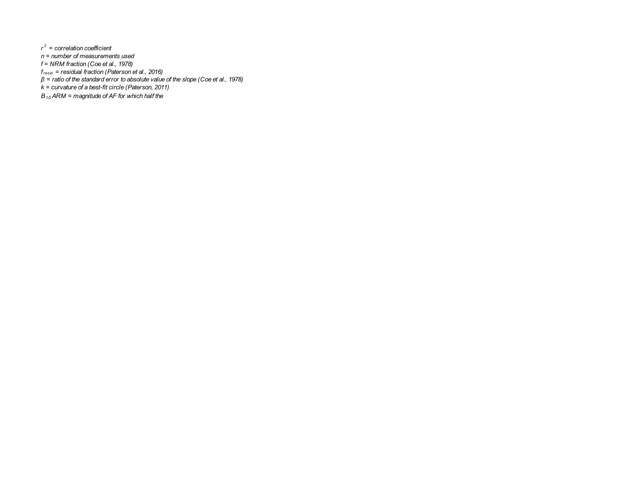*r 2 = correlation coefficient n = number of measurements used f = NRM fraction (Coe et al., 1978) fresid = residual fraction (Paterson et al., 2016) β = ratio of the standard error to absolute value of the slope (Coe et al., 1978) k = curvature of a best-fit circle (Paterson, 2011)*

*B1/2ARM = magnitude of AF for which half the*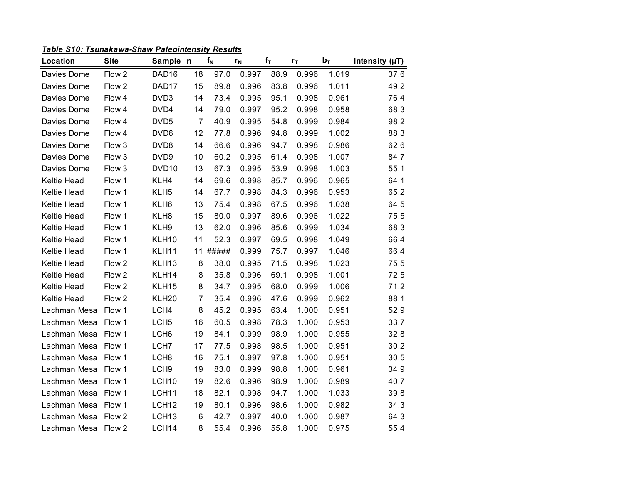*Table S10: Tsunakawa-Shaw Paleointensity Results*

| Location     | <b>Site</b> | Sample n          |                | $f_N$ | $r_{N}$ | $f_T$ | $r_T$ | $b_T$ | Intensity $(\mu T)$ |
|--------------|-------------|-------------------|----------------|-------|---------|-------|-------|-------|---------------------|
| Davies Dome  | Flow 2      | DAD16             | 18             | 97.0  | 0.997   | 88.9  | 0.996 | 1.019 | 37.6                |
| Davies Dome  | Flow 2      | DAD17             | 15             | 89.8  | 0.996   | 83.8  | 0.996 | 1.011 | 49.2                |
| Davies Dome  | Flow 4      | DVD3              | 14             | 73.4  | 0.995   | 95.1  | 0.998 | 0.961 | 76.4                |
| Davies Dome  | Flow 4      | DVD4              | 14             | 79.0  | 0.997   | 95.2  | 0.998 | 0.958 | 68.3                |
| Davies Dome  | Flow 4      | DVD <sub>5</sub>  | $\overline{7}$ | 40.9  | 0.995   | 54.8  | 0.999 | 0.984 | 98.2                |
| Davies Dome  | Flow 4      | DVD <sub>6</sub>  | 12             | 77.8  | 0.996   | 94.8  | 0.999 | 1.002 | 88.3                |
| Davies Dome  | Flow 3      | DVD <sub>8</sub>  | 14             | 66.6  | 0.996   | 94.7  | 0.998 | 0.986 | 62.6                |
| Davies Dome  | Flow 3      | DVD9              | 10             | 60.2  | 0.995   | 61.4  | 0.998 | 1.007 | 84.7                |
| Davies Dome  | Flow 3      | DVD <sub>10</sub> | 13             | 67.3  | 0.995   | 53.9  | 0.998 | 1.003 | 55.1                |
| Keltie Head  | Flow 1      | KLH4              | 14             | 69.6  | 0.998   | 85.7  | 0.996 | 0.965 | 64.1                |
| Keltie Head  | Flow 1      | KLH <sub>5</sub>  | 14             | 67.7  | 0.998   | 84.3  | 0.996 | 0.953 | 65.2                |
| Keltie Head  | Flow 1      | KLH <sub>6</sub>  | 13             | 75.4  | 0.998   | 67.5  | 0.996 | 1.038 | 64.5                |
| Keltie Head  | Flow 1      | KLH8              | 15             | 80.0  | 0.997   | 89.6  | 0.996 | 1.022 | 75.5                |
| Keltie Head  | Flow 1      | KLH9              | 13             | 62.0  | 0.996   | 85.6  | 0.999 | 1.034 | 68.3                |
| Keltie Head  | Flow 1      | KLH10             | 11             | 52.3  | 0.997   | 69.5  | 0.998 | 1.049 | 66.4                |
| Keltie Head  | Flow 1      | KLH11             | 11             | ##### | 0.999   | 75.7  | 0.997 | 1.046 | 66.4                |
| Keltie Head  | Flow 2      | KLH <sub>13</sub> | 8              | 38.0  | 0.995   | 71.5  | 0.998 | 1.023 | 75.5                |
| Keltie Head  | Flow 2      | KLH14             | 8              | 35.8  | 0.996   | 69.1  | 0.998 | 1.001 | 72.5                |
| Keltie Head  | Flow 2      | KLH15             | 8              | 34.7  | 0.995   | 68.0  | 0.999 | 1.006 | 71.2                |
| Keltie Head  | Flow 2      | KLH <sub>20</sub> | $\overline{7}$ | 35.4  | 0.996   | 47.6  | 0.999 | 0.962 | 88.1                |
| Lachman Mesa | Flow 1      | LCH4              | 8              | 45.2  | 0.995   | 63.4  | 1.000 | 0.951 | 52.9                |
| Lachman Mesa | Flow 1      | LCH <sub>5</sub>  | 16             | 60.5  | 0.998   | 78.3  | 1.000 | 0.953 | 33.7                |
| Lachman Mesa | Flow 1      | LCH <sub>6</sub>  | 19             | 84.1  | 0.999   | 98.9  | 1.000 | 0.955 | 32.8                |
| Lachman Mesa | Flow 1      | LCH <sub>7</sub>  | 17             | 77.5  | 0.998   | 98.5  | 1.000 | 0.951 | 30.2                |
| Lachman Mesa | Flow 1      | LCH <sub>8</sub>  | 16             | 75.1  | 0.997   | 97.8  | 1.000 | 0.951 | 30.5                |
| Lachman Mesa | Flow 1      | LCH <sub>9</sub>  | 19             | 83.0  | 0.999   | 98.8  | 1.000 | 0.961 | 34.9                |
| Lachman Mesa | Flow 1      | LCH <sub>10</sub> | 19             | 82.6  | 0.996   | 98.9  | 1.000 | 0.989 | 40.7                |
| Lachman Mesa | Flow 1      | LCH <sub>11</sub> | 18             | 82.1  | 0.998   | 94.7  | 1.000 | 1.033 | 39.8                |
| Lachman Mesa | Flow 1      | LCH <sub>12</sub> | 19             | 80.1  | 0.996   | 98.6  | 1.000 | 0.982 | 34.3                |
| Lachman Mesa | Flow 2      | LCH <sub>13</sub> | 6              | 42.7  | 0.997   | 40.0  | 1.000 | 0.987 | 64.3                |
| Lachman Mesa | Flow 2      | LCH14             | 8              | 55.4  | 0.996   | 55.8  | 1.000 | 0.975 | 55.4                |